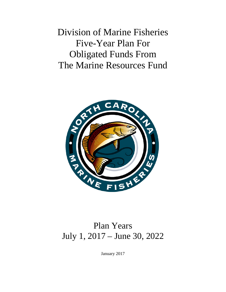Division of Marine Fisheries Five-Year Plan For Obligated Funds From The Marine Resources Fund



# Plan Years July 1, 2017 – June 30, 2022

January 2017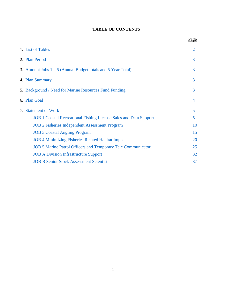# **TABLE OF CONTENTS**

|                                                                          | Page |
|--------------------------------------------------------------------------|------|
| 1. List of Tables                                                        | 2    |
| 2. Plan Period                                                           | 3    |
| 3. Amount Jobs $1 - 5$ (Annual Budget totals and 5 Year Total)           | 3    |
| 4. Plan Summary                                                          | 3    |
| 5. Background / Need for Marine Resources Fund Funding                   | 3    |
| 6. Plan Goal                                                             | 4    |
| 7. Statement of Work                                                     | 5    |
| <b>JOB 1 Coastal Recreational Fishing License Sales and Data Support</b> | 5    |
| <b>JOB 2 Fisheries Independent Assessment Program</b>                    | 10   |
| <b>JOB 3 Coastal Angling Program</b>                                     | 15   |
| <b>JOB 4 Minimizing Fisheries Related Habitat Impacts</b>                | 20   |
| <b>JOB 5 Marine Patrol Officers and Temporary Tele Communicator</b>      | 25   |
| <b>JOB A Division Infrastructure Support</b>                             | 32   |
| <b>JOB B Senior Stock Assessment Scientist</b>                           | 37   |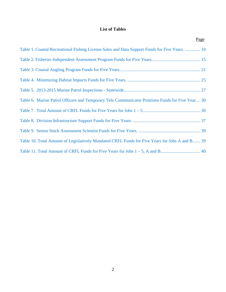# **List of Tables**

<span id="page-2-0"></span>

| Page                                                                                             |
|--------------------------------------------------------------------------------------------------|
| Table 1. Coastal Recreational Fishing License Sales and Data Support Funds for Five Years.  10   |
|                                                                                                  |
|                                                                                                  |
|                                                                                                  |
|                                                                                                  |
| Table 6. Marine Patrol Officers and Temporary Tele Communicator Positions Funds for Five Year 30 |
|                                                                                                  |
|                                                                                                  |
|                                                                                                  |
| Table 10. Total Amount of Legislatively Mandated CRFL Funds for Five Years for Jobs A and B 39   |
|                                                                                                  |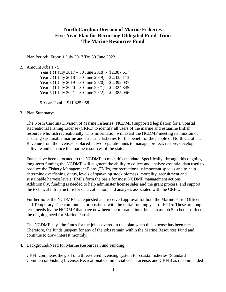# **North Carolina Division of Marine Fisheries Five-Year Plan for Recurring Obligated Funds from The Marine Resources Fund**

<span id="page-3-0"></span>1. Plan Period: From: 1 July 2017 To: 30 June 2022

#### <span id="page-3-1"></span>2. Amount Jobs 1 - 5:

Year 1 (1 July 2017 – 30 June 2018) - \$2,387,617 Year 2 (1 July 2018 – 30 June 2019) - \$2,335,113 Year 3 (1 July 2019 – 30 June 2020) - \$2,392,037 Year 4 (1 July 2020 – 30 June 2021) - \$2,324,345 Year 5 (1 July 2021 – 30 June 2022) - \$2,385,946

5 Year Total = \$11,825,058

#### <span id="page-3-2"></span>3. Plan Summary:

The North Carolina Division of Marine Fisheries (NCDMF) supported legislation for a Coastal Recreational Fishing License (CRFL) to identify all users of the marine and estuarine finfish resource who fish recreationally. This information will assist the NCDMF meeting its mission of ensuring sustainable marine and estuarine fisheries for the benefit of the people of North Carolina. Revenue from the licenses is placed in two separate funds to manage, protect, restore, develop, cultivate and enhance the marine resources of the state.

Funds have been allocated to the NCDMF to meet this mandate. Specifically, through this ongoing long-term funding the NCDMF will augment the ability to collect and analyze essential data used to produce the Fishery Management Plans (FMPs) for recreationally important species and to help determine overfishing status, levels of spawning stock biomass, mortality, recruitment and sustainable harvest levels. FMPs form the basis for most NCDMF management actions. Additionally, funding is needed to help administer license sales and the grant process, and support the technical infrastructure for data collection, and analyses associated with the CRFL.

Furthermore, the NCDMF has requested and received approval for both the Marine Patrol Officer and Temporary Tele communicator positions with the initial funding year of FY15. These are long term needs by the NCDMF that have now been incorporated into this plan as Job 5 to better reflect the ongoing need for Marine Patrol.

The NCDMF pays the funds for the jobs covered in this plan when the expense has been met. Therefore, the funds unspent for any of the jobs remain within the Marine Resources Fund and continue to draw interest monthly.

<span id="page-3-3"></span>4. Background/Need for Marine Resources Fund Funding:

CRFL completes the goal of a three-tiered licensing system for coastal fisheries (Standard Commercial Fishing License, Recreational Commercial Gear License, and CRFL) as recommended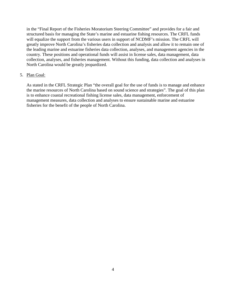in the "Final Report of the Fisheries Moratorium Steering Committee" and provides for a fair and structured basis for managing the State's marine and estuarine fishing resources. The CRFL funds will equalize the support from the various users in support of NCDMF's mission. The CRFL will greatly improve North Carolina's fisheries data collection and analysis and allow it to remain one of the leading marine and estuarine fisheries data collection, analyses, and management agencies in the country. These positions and operational funds will assist in license sales, data management, data collection, analyses, and fisheries management. Without this funding, data collection and analyses in North Carolina would be greatly jeopardized.

#### <span id="page-4-0"></span>5. Plan Goal:

As stated in the CRFL Strategic Plan "the overall goal for the use of funds is to manage and enhance the marine resources of North Carolina based on sound science and strategies". The goal of this plan is to enhance coastal recreational fishing license sales, data management, enforcement of management measures, data collection and analyses to ensure sustainable marine and estuarine fisheries for the benefit of the people of North Carolina.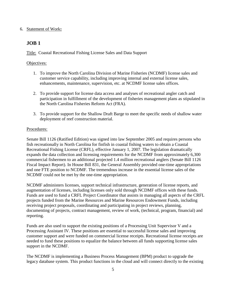#### <span id="page-5-0"></span>6. Statement of Work**:**

# <span id="page-5-1"></span>**JOB 1**

Title: Coastal Recreational Fishing License Sales and Data Support

#### Objectives:

- 1. To improve the North Carolina Division of Marine Fisheries (NCDMF) license sales and customer service capability, including improving internal and external license sales, enhancements, maintenance, supervision, etc. at NCDMF license sales offices.
- 2. To provide support for license data access and analyses of recreational angler catch and participation in fulfillment of the development of fisheries management plans as stipulated in the North Carolina Fisheries Reform Act (FRA).
- 3. To provide support for the Shallow Draft Barge to meet the specific needs of shallow water deployment of reef construction material.

### Procedures:

Senate Bill 1126 (Ratified Edition) was signed into law September 2005 and requires persons who fish recreationally in North Carolina for finfish in coastal fishing waters to obtain a Coastal Recreational Fishing License (CRFL), effective January 1, 2007. The legislation dramatically expands the data collection and licensing requirements for the NCDMF from approximately 6,300 commercial fishermen to an additional projected 1.4 million recreational anglers (Senate Bill 1126 Fiscal Impact Report). In House Bill 831, the General Assembly provided one-time appropriations and one FTE position to NCDMF. The tremendous increase in the essential license sales of the NCDMF could not be met by the one-time appropriation.

NCDMF administers licenses, support technical infrastructure, generation of license reports, and augmentation of licenses, including licenses only sold through NCDMF offices with these funds. Funds are used to fund a CRFL Project Coordinator that assists in managing all aspects of the CRFL projects funded from the Marine Resources and Marine Resources Endowment Funds, including receiving project proposals, coordinating and participating in project reviews, planning, documenting of projects, contract management, review of work, (technical, program, financial) and reporting.

Funds are also used to support the existing positions of a Processing Unit Supervisor V and a Processing Assistant IV. These positions are essential to successful license sales and improving customer support and were funded on commercial license receipts. Recreational license receipts are needed to fund these positions to equalize the balance between all funds supporting license sales support in the NCDMF.

The NCDMF is implementing a Business Process Management (BPM) product to upgrade the legacy database system. This product functions in the cloud and will connect directly to the existing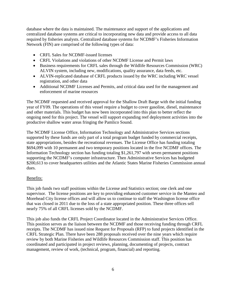database where the data is maintained. The maintenance and support of the applications and centralized database systems are critical to incorporating new data and provide access to all data required by fisheries analysts. Centralized database systems for NCDMF's Fisheries Information Network (FIN) are comprised of the following types of data:

- CRFL Sales for NCDMF-issued licenses
- CRFL Violations and violations of other NCDMF License and Permit laws
- Business requirements for CRFL sales through the Wildlife Resources Commission (WRC) ALVIN system, including new, modifications, quality assurance, data feeds, etc.
- ALVIN-replicated database of CRFL products issued by the WRC including WRC vessel registration, and other data
- Additional NCDMF Licenses and Permits, and critical data used for the management and enforcement of marine resources

The NCDMF requested and received approval for the Shallow Draft Barge with the initial funding year of FY09. The operations of this vessel require a budget to cover gasoline, diesel, maintenance and other materials. This budget has now been incorporated into this plan to better reflect the ongoing need for this project. The vessel will support expanding reef deployment activities into the productive shallow water areas fringing the Pamlico Sound.

The NCDMF License Office, Information Technology and Administrative Services sections supported by these funds are only part of a total program budget funded by commercial receipts, state appropriations, besides the recreational revenues. The License Office has funding totaling \$694,099 with 10 permanent and two temporary positions located in the five NCDMF offices. The Information Technology section has funding totaling \$1,261,797 with seven permanent positions supporting the NCDMF's computer infrastructure. Then Administrative Services has budgeted \$200,613 to cover headquarters utilities and the Atlantic States Marine Fisheries Commission annual dues.

#### Benefits:

This job funds two staff positions within the License and Statistics section; one clerk and one supervisor. The license positions are key to providing enhanced customer service in the Manteo and Morehead City license offices and will allow us to continue to staff the Washington license office that was closed in 2011 due to the loss of a state appropriated position. These three offices sell nearly 75% of all CRFL licenses sold by the NCDMF.

This job also funds the CRFL Project Coordinator located in the Administrative Services Office. This position serves as the liaison between the NCDMF and those receiving funding through CRFL receipts. The NCDMF has issued nine Request for Proposals (RFP) to fund projects identified in the CRFL Strategic Plan. There have been 288 proposals received over the nine years which require review by both Marine Fisheries and Wildlife Resources Commission staff. This position has coordinated and participated in project reviews, planning, documenting of projects, contract management, review of work, (technical, program, financial) and reporting.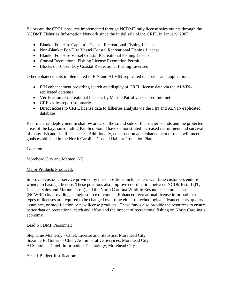Below are the CRFL products implemented through NCDMF only license sales outlets through the NCDMF Fisheries Information Network since the initial sale of the CRFL in January, 2007:

- Blanket For-Hire Captain's Coastal Recreational Fishing License
- Non-Blanket For-Hire Vessel Coastal Recreational Fishing License
- Blanket For-Hire Vessel Coastal Recreational Fishing License
- Coastal Recreational Fishing License Exemption Permit
- Blocks of 10 Ten Day Coastal Recreational Fishing Licenses

Other enhancements implemented in FIN and ALVIN-replicated databases and applications:

- FIN enhancement providing search and display of CRFL license data via the ALVINreplicated database
- Verification of recreational licenses by Marine Patrol via secured Internet
- CRFL sales report summaries
- Direct access to CRFL license data to fisheries analysts via the FIN and ALVIN-replicated database

Reef material deployment in shallow areas on the sound side of the barrier islands and the protected areas of the bays surrounding Pamlico Sound have demonstrated increased recruitment and survival of many fish and shellfish species. Additionally, construction and enhancement of reefs will meet goals established in the North Carolina Coastal Habitat Protection Plan.

#### Location:

Morehead City and Manteo, NC

#### Major Products Produced:

Improved customer service provided by these positions includes less wait time customers endure when purchasing a license. These positions also improve coordination between NCDMF staff (IT, License Sales and Marine Patrol) and the North Carolina Wildlife Resources Commission (NCWRC) by providing a single source of contact. Enhanced recreational license information as types of licenses are required to be changed over time either to technological advancements, quality assurance, or modification or new license products. These funds also provide the resources to ensure better data on recreational catch and effort and the impact of recreational fishing on North Carolina's economy.

#### Lead NCDMF Personnel:

Stephanie McInerny - Chief, License and Statistics, Morehead City Suzanne R. Guthrie - Chief, Administrative Services, Morehead City Al Schmidt - Chief, Information Technology, Morehead City

Year 1 Budget Justification: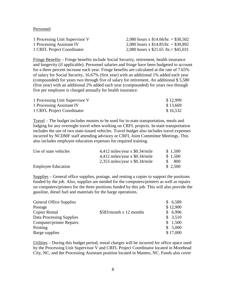Personnel

| 1 Processing Unit Supervisor V | 2,080 hours x $$14.66/hr = $30,502$    |
|--------------------------------|----------------------------------------|
| 1 Processing Assistant IV      | 2,080 hours x $$14.85/hr = $30,892$    |
| 1 CRFL Project Coordinator     | 2,080 hours x $$21.65$ /hr. = \$45,031 |

Fringe Benefits – Fringe benefits include Social Security, retirement, health insurance and longevity (if applicable). Personnel salaries and fringe have been budgeted to account for a three percent increase each year. Fringe benefits are calculated at the rate of 7.65% of salary for Social Security, 16.67% (first year) with an additional 1% added each year (compounded) for years two through five of salary for retirement. An additional \$ 5,580 (first year) with an additional 2% added each year (compounded) for years two through five per employee is charged annually for health insurance.

| 1 Processing Unit Supervisor V | \$12,999 |
|--------------------------------|----------|
| 1 Processing Assistant IV      | \$13,669 |
| 1 CRFL Project Coordinator     | \$16,532 |

Travel – The budget includes monies to be used for in-state transportation, meals and lodging for any overnight travel when working on CRFL projects. In-state transportation includes the use of two state-issued vehicles. Travel budget also includes travel expenses incurred by NCDMF staff attending advisory or CRFL Joint Committee Meetings. This also includes employee education expenses for required training.

| Use of state vehicles     | $4,412$ miles/year x \$0.34/mile | \$1,500 |
|---------------------------|----------------------------------|---------|
|                           | $4,412$ miles/year x \$0.34/mile | \$1,500 |
|                           | $2,353$ miles/year x \$0.34/mile | 800     |
| <b>Employee Education</b> |                                  | \$2,500 |

Supplies – General office supplies, postage, and renting a copier to support the positions funded by the job. Also, supplies are needed for the computers/printers as well as repairs on computers/printers for the three positions funded by this job. This will also provide the gasoline, diesel fuel and materials for the barge operations.

| <b>General Office Supplies</b>  |                         | \$6,589  |
|---------------------------------|-------------------------|----------|
| Postage                         |                         | \$12,900 |
| Copier Rental                   | \$583/month x 12 months | \$6,996  |
| Data Processing Supplies        |                         | \$3,510  |
| <b>Computer/printer Repairs</b> |                         | \$1,500  |
| Printing                        |                         | \$5,000  |
| Barge supplies                  |                         | \$17,000 |

Utilities – During this budget period, rental charges will be incurred for office space used by the Processing Unit Supervisor V and CRFL Project Coordinator located in Morehead City, NC, and the Processing Assistant position located in Manteo, NC. Funds also cover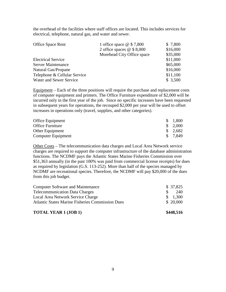the overhead of the facilities where staff offices are located. This includes services for electrical, telephone, natural gas, and water and sewer.

| <b>Office Space Rent</b>     | 1 office space $@$7,800$   | \$ 7,800 |
|------------------------------|----------------------------|----------|
|                              | 2 office spaces $@$8,000$  | \$16,000 |
|                              | Morehead City Office space | \$35,000 |
| <b>Electrical Service</b>    |                            | \$11,000 |
| <b>Server Maintenance</b>    |                            | \$65,000 |
| Natural Gas/Propane          |                            | \$16,000 |
| Telephone & Cellular Service |                            | \$11,100 |
| Water and Sewer Service      |                            | \$3,500  |

Equipment – Each of the three positions will require the purchase and replacement costs of computer equipment and printers. The Office Furniture expenditure of \$2,000 will be incurred only in the first year of the job. Since no specific increases have been requested in subsequent years for operations, the recouped \$2,000 per year will be used to offset increases in operations only (travel, supplies, and other categories).

| Office Equipment   | \$1,800               |
|--------------------|-----------------------|
| Office Furniture   | $\frac{1}{2}$ ,000    |
| Other Equipment    | $\frac{1}{2}$ , 2,682 |
| Computer Equipment | \$ 7.849              |

Other Costs – The telecommunication data charges and Local Area Network service charges are required to support the computer infrastructure of the database administration functions. The NCDMF pays the Atlantic States Marine Fisheries Commission over \$51,363 annually (in the past 100% was paid from commercial license receipts) for dues as required by legislation (G.S. 113-252). More than half of the species managed by NCDMF are recreational species. Therefore, the NCDMF will pay \$20,000 of the dues from this job budget.

| <b>TOTAL YEAR 1 (JOB 1)</b>                             | \$448,516 |
|---------------------------------------------------------|-----------|
| <b>Atlantic States Marine Fisheries Commission Dues</b> | \$20,000  |
| Local Area Network Service Charge                       | \$1,300   |
| <b>Telecommunication Data Charges</b>                   | 240<br>-S |
| <b>Computer Software and Maintenance</b>                | \$37,825  |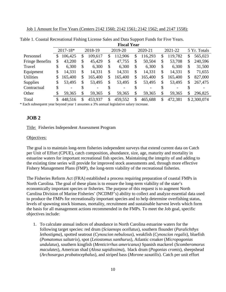|                        | <b>Fiscal Year</b>                                       |         |    |         |    |         |    |              |               |    |             |
|------------------------|----------------------------------------------------------|---------|----|---------|----|---------|----|--------------|---------------|----|-------------|
|                        | $2017 - 18*$<br>2018-19<br>2019-20<br>2020-21<br>2021-22 |         |    |         |    |         |    | 5 Yr. Totals |               |    |             |
| Personnel              | \$                                                       | 106,425 | \$ | 109,617 | \$ | 112,906 | \$ | 116,293      | \$<br>119,782 | \$ | 565,023     |
| <b>Fringe Benefits</b> | \$                                                       | 43,200  | \$ | 45,429  | \$ | 47,755  | \$ | 50,504       | \$<br>53,708  | \$ | 240,596     |
| Travel                 | \$                                                       | 6,300   | \$ | 6,300   | \$ | 6,300   | \$ | 6,300        | \$<br>6,300   | \$ | 31,500      |
| Equipment              | \$                                                       | 14,331  | \$ | 14,331  | \$ | 14,331  | \$ | 14,331       | \$<br>14,331  | \$ | 71,655      |
| <b>Utilities</b>       | \$                                                       | 165,400 | \$ | 165,400 | \$ | 165,400 | \$ | 165,400      | \$<br>165,400 | \$ | 827,000     |
| <b>Supplies</b>        | \$                                                       | 53,495  | \$ | 53,495  | \$ | 53,495  | S  | 53,495       | \$<br>53,495  | \$ | 267,475     |
| Contractual            | \$                                                       |         |    |         | \$ |         |    |              | \$            |    |             |
| Other                  | \$                                                       | 59,365  | \$ | 59,365  | \$ | 59,365  | \$ | 59,365       | \$<br>59,365  | \$ | 296,825     |
| Total                  | \$                                                       | 448,516 | \$ | 453,937 | \$ | 459,552 | \$ | 465,688      | \$<br>472,381 |    | \$2,300,074 |

<span id="page-10-1"></span>Table 1. Coastal Recreational Fishing License Sales and Data Support Funds for Five Years.

\* Each subsequent year beyond year 1 assumes a 3% annual legislative salary increase.

#### <span id="page-10-0"></span>**JOB 2**

Title: Fisheries Independent Assessment Program

#### Objectives:

The goal is to maintain long-term fisheries independent surveys that extend current data on Catch per Unit of Effort (CPUE), catch composition, abundance, size, age, maturity and mortality in estuarine waters for important recreational fish species. Maintaining the integrity of and adding to the existing time series will provide for improved stock assessments and, through more effective Fishery Management Plans (FMP), the long-term viability of the recreational fisheries.

The Fisheries Reform Act (FRA) established a process requiring preparation of coastal FMPs in North Carolina. The goal of these plans is to ensure the long-term viability of the state's economically important species or fisheries. The purpose of this request is to augment North Carolina Division of Marine Fisheries' (NCDMF's) ability to collect and analyze essential data used to produce the FMPs for recreationally important species and to help determine overfishing status, levels of spawning stock biomass, mortality, recruitment and sustainable harvest levels which form the basis for all management actions recommended in the FMPs. To meet the Job goal, specific objectives include:

1. To calculate annual indices of abundance in North Carolina estuarine waters for the following target species: red drum (*Sciaenops ocellatus*), southern flounder (*Paralichthys lethostigma*), spotted seatrout (*Cynoscion nebulosus*), weakfish (*Cynoscion regalis*), bluefish (*Pomatomus saltatrix*), spot (*Leiostomus xanthurus*), Atlantic croaker (*Micropogonias undulatus*), southern kingfish (*Menticirrhus americanus)* Spanish mackerel (*Scomberomorus maculates*), American shad (*Alosa sapidissima*), black drum (*Pogonias cromis*), sheepshead (*Archosargus probatocephalus*), and striped bass (*Morone saxatilis*). Catch per unit effort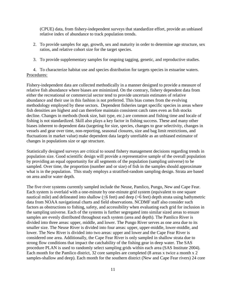(CPUE) data, from fishery-independent surveys that standardize effort, provide an unbiased relative index of abundance to track population trends.

- 2. To provide samples for age, growth, sex and maturity in order to determine age structure, sex ratios, and relative cohort size for the target species.
- 3. To provide supplementary samples for ongoing tagging, genetic, and reproductive studies.

4. To characterize habitat use and species distribution for targets species in estuarine waters. Procedures:

Fishery-independent data are collected methodically in a manner designed to provide a measure of relative fish abundance where biases are minimized. On the contrary, fishery dependent data from either the recreational or commercial sector tend to provide uncertain estimates of relative abundance and their use in this fashion is not preferred. This bias comes from the evolving methodology employed by these sectors. Dependent fisheries target specific species in areas where fish densities are highest and can therefore maintain consistent catch rates even as fish stocks decline. Changes in methods (hook size, bait type, etc.) are common and fishing time and locale of fishing is not standardized. Skill also plays a key factor in fishing success. These and many other biases inherent to dependent data (targeting for size, species, changes to gear selectivity, changes in vessels and gear over time, non-reporting, seasonal closures, size and bag limit restrictions, and fluctuations in market value) make dependent data largely unreliable as an unbiased estimator of changes in populations size or age structure.

Statistically designed surveys are critical to sound fishery management decisions regarding trends in population size. Good scientific design will provide a representative sample of the overall population by providing an equal opportunity for all segments of the population (sampling universe) to be sampled. Over time, the proportion (number and or size) of fish in the samples should approximate what is in the population. This study employs a stratified-random sampling design. Strata are based on area and/or water depth.

The five river systems currently sampled include the Neuse, Pamlico, Pungo, New and Cape Fear. Each system is overlaid with a one-minute by one-minute grid system (equivalent to one square nautical mile) and delineated into shallow (<6 feet) and deep (>6 feet) depth strata using bathymetric data from NOAA navigational charts and field observations. NCDMF staff also consider such factors as obstructions to fishing, safety, and accessibility when evaluating each grid for inclusion in the sampling universe. Each of the systems is further segregated into similar sized areas to ensure samples are evenly distributed throughout each system (area and depth). The Pamlico River is divided into three areas: upper, middle, and lower. The Pungo River serves as one area due to its smaller size. The Neuse River is divided into four areas: upper, upper-middle, lower-middle, and lower. The New River is divided into two areas: upper and lower and the Cape Fear River is considered one area. Additionally, the Cape Fear River is only sampled in shallow strata due to strong flow conditions that impact the catchability of the fishing gear in deep water. The SAS procedure PLAN is used to randomly select sampling grids within each area (SAS Institute 2004). Each month for the Pamlico district, 32 core samples are completed (8 areas x twice a month x 2 samples-shallow and deep). Each month for the southern district (New and Cape Fear rivers) 24 core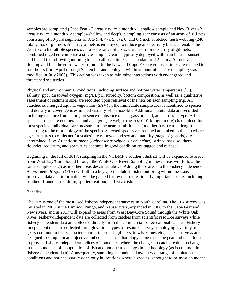samples are completed (Cape Fear - 2 areas x twice a month x 1 shallow sample and New River - 2 areas x twice a month x 2 samples-shallow and deep). Sampling gear consists of an array of gill nets consisting of 30-yard segments of 3,  $3\frac{1}{2}$ , 4,  $4\frac{1}{2}$ , 5,  $5\frac{1}{2}$ , 6, and  $6\frac{1}{2}$  inch stretched mesh webbing (240) total yards of gill net). An array of nets is employed, to reduce gear selectivity bias and enable the gear to catch multiple species over a wide range of sizes. Catches from this array of gill nets, combined together, comprise a single sample. Gear is typically deployed within an hour of sunset and fished the following morning to keep all soak times at a standard of 12 hours. All nets are floating and fish the entire water column. In the New and Cape Fear rivers soak times are reduced to four hours from April through September and deployed within an hour of sunrise (sampling was modified in July 2008). This action was taken to minimize interactions with endangered and threatened sea turtles.

Physical and environmental conditions, including surface and bottom water temperature (°C), salinity (ppt), dissolved oxygen (mg/L), pH, turbidity, bottom composition, as well as, a qualitative assessment of sediment size, are recorded upon retrieval of the nets on each sampling trip. All attached submerged aquatic vegetation (SAV) in the immediate sample area is identified to species and density of coverage is estimated visually when possible. Additional habitat data are recorded including distance from shore, presence or absence of sea grass or shell, and substrate type. All species groups are enumerated and an aggregate weight (nearest 0.01 kilogram (kg)) is obtained for most species. Individuals are measured to the nearest millimeter for either fork or total length according to the morphology of the species. Selected species are retained and taken to the lab where age structures (otoliths and/or scales) are removed and sex and maturity (stage of gonads) are determined. Live Atlantic sturgeon (*Acipenser oxyrinchus oxyrinchus*), striped bass, southern flounder, red drum, and sea turtles captured in good condition are tagged and released.

Beginning in the fall of 2017, sampling in the NCDMF's southern district will be expanded to areas from West Bay/Core Sound through the White Oak River. Sampling in these areas will follow the same sample design as in other areas described above. Adding these areas to the Fishery Independent Assessment Program (FIA) will fill in a key gap in adult finfish monitoring within the state. Improved data and information will be gained for several recreationally important species including southern flounder, red drum, spotted seatrout, and weakfish.

#### Benefits:

The FIA is one of the most used fishery-independent surveys in North Carolina. The FIA survey was initiated in 2003 in the Pamlico, Pungo, and Neuse rivers, expanded in 2008 to the Cape Fear and New rivers, and in 2017 will expand to areas from West Bay/Core Sound through the White Oak River. Fishery-independent data are collected from catches from scientific resource surveys while fishery-dependent data are collected directly from the commercial or recreational catches. Fisheryindependent data are collected through various types of resource surveys employing a variety of gears common to fisheries science (multiple-mesh gill nets, trawls, seines etc.). These surveys are designed to sample in an objective and consistent methodology using the same gear and techniques to provide fishery-independent indices of abundance where the changes in catch are due to changes in the abundance of a population of fish and not due to changes in methodology (as is common in fishery-dependent data). Consequently, sampling is conducted over a wide range of habitats and conditions and not necessarily done only in locations where a species is thought to be most abundant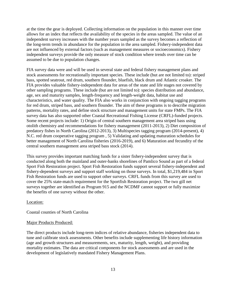at the time the gear is deployed. Collecting information on the population in this manner over time allows for an index that reflects the availability of the species in the areas sampled. The value of an independent survey increases with the number years sampled as the survey becomes a reflection of the long-term trends in abundance for the population in the area sampled. Fishery-independent data are not influenced by external factors (such as management measures or socioeconomics). Fishery independent surveys provide the only measure of stock condition where trends over time can be assumed to be due to population changes.

FIA survey data were and will be used in several state and federal fishery management plans and stock assessments for recreationally important species. These include (but are not limited to): striped bass, spotted seatrout, red drum, southern flounder, bluefish, black drum and Atlantic croaker. The FIA provides valuable fishery-independent data for areas of the state and life stages not covered by other sampling programs. These include (but are not limited to): species distribution and abundance, age, sex and maturity samples, length-frequency and length-weight data, habitat use and characteristics, and water quality. The FIA also works in conjunction with ongoing tagging programs for red drum, striped bass, and southern flounder. The aim of these programs is to describe migration patterns, mortality rates, and define stock structure and management units for state FMPs. The FIA survey data has also supported other Coastal Recreational Fishing License (CRFL)-funded projects. Some recent projects include: 1) Origin of central southern management area striped bass using otolith chemistry and recommendations for fishery management (2011-2013), 2) Diet composition of predatory fishes in North Carolina (2012-2013), 3) Multispecies tagging program (2014-present), 4) N.C. red drum cooperative tagging program , 5) Validating and updating maturation schedules for better management of North Carolina fisheries (2016-2019), and 6) Maturation and fecundity of the central southern management area striped bass stock (2014).

This survey provides important matching funds for a sister fishery-independent survey that is conducted along both the mainland and outer-banks shorelines of Pamlico Sound as part of a federal Sport Fish Restoration project. Sport Fish Restoration funds support several fishery-independent and fishery-dependent surveys and support staff working on those surveys. In total, \$1,219,484 in Sport Fish Restoration funds are used to support other surveys. CRFL funds from this survey are used to cover the 25% state-match requirement for the Sportfish Restoration project. The two gill net surveys together are identified as Program 915 and the NCDMF cannot support or fully maximize the benefits of one survey without the other.

#### Location:

Coastal counties of North Carolina

#### Major Products Produced:

The direct products include long-term indices of relative abundance, fisheries independent data to tune and calibrate stock assessments. Other benefits include supplementing life history information (age and growth structures and measurements, sex, maturity, length, weight), and providing mortality estimates. The data are critical components for stock assessments and are used in the development of legislatively mandated Fishery Management Plans.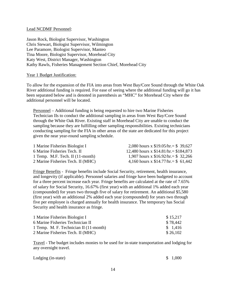#### Lead NCDMF Personnel:

Jason Rock, Biologist Supervisor, Washington Chris Stewart, Biologist Supervisor, Wilmington Lee Paramore, Biologist Supervisor, Manteo Tina Moore, Biologist Supervisor, Morehead City Katy West, District Manager, Washington Kathy Rawls, Fisheries Management Section Chief, Morehead City

#### Year 1 Budget Justification:

To allow for the expansion of the FIA into areas from West Bay/Core Sound through the White Oak River additional funding is required. For ease of seeing where the additional funding will go it has been separated below and is denoted in parenthesis as "MHC" for Morehead City where the additional personnel will be located.

Personnel – Additional funding is being requested to hire two Marine Fisheries Technician IIs to conduct the additional sampling in areas from West Bay/Core Sound through the White Oak River. Existing staff in Morehead City are unable to conduct the sampling because they are fulfilling other sampling responsibilities. Existing technicians conducting sampling for the FIA in other areas of the state are dedicated for this project given the near year-round sampling schedule.

| 1 Marine Fisheries Biologist I      | 2,080 hours x $$19.05/hr = $39.627$   |
|-------------------------------------|---------------------------------------|
| 6 Marine Fisheries Tech. II         | 12,480 hours x $$14.81/hr = $184,873$ |
| 1 Temp. M.F. Tech. II $(11$ -month) | 1,907 hours x $$16.92/hr = $32,266$   |
| 2 Marine Fisheries Tech. II (MHC)   | 4,160 hours x $$14.77/hr = $61,442$   |

Fringe Benefits - Fringe benefits include Social Security, retirement, health insurance, and longevity (if applicable). Personnel salaries and fringe have been budgeted to account for a three percent increase each year. Fringe benefits are calculated at the rate of 7.65% of salary for Social Security, 16.67% (first year) with an additional 1% added each year (compounded) for years two through five of salary for retirement. An additional \$5,580 (first year) with an additional 2% added each year (compounded) for years two through five per employee is charged annually for health insurance. The temporary has Social Security and health insurance as fringe.

| 1 Marine Fisheries Biologist I         | \$15,217 |
|----------------------------------------|----------|
| 6 Marine Fisheries Technician II       | \$78,442 |
| 1 Temp. M. F. Technician II (11-month) | \$1,416  |
| 2 Marine Fisheries Tech. II (MHC)      | \$26,102 |

Travel - The budget includes monies to be used for in-state transportation and lodging for any overnight travel.

| Lodging (in-state) | \$1,000 |
|--------------------|---------|
|                    |         |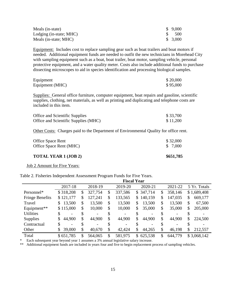| Meals (in-state)        | \$9,000 |
|-------------------------|---------|
| Lodging (in-state; MHC) | - 500   |
| Meals (in-state; MHC)   | \$3,000 |

Equipment: Includes cost to replace sampling gear such as boat trailers and boat motors if needed. Additional equipment funds are needed to outfit the new technicians in Morehead City with sampling equipment such as a boat, boat trailer, boat motor, sampling vehicle, personal protective equipment, and a water quality meter. Costs also include additional funds to purchase dissecting microscopes to aid in species identification and processing biological samples.

| Equipment       | \$20,000 |
|-----------------|----------|
| Equipment (MHC) | \$95,000 |

Supplies: General office furniture, computer equipment, boat repairs and gasoline, scientific supplies, clothing, net materials, as well as printing and duplicating and telephone costs are included in this item.

| Office and Scientific Supplies       | \$33,700 |
|--------------------------------------|----------|
| Office and Scientific Supplies (MHC) | \$11,200 |

Other Costs: Charges paid to the Department of Environmental Quality for office rent.

| <b>TOTAL YEAR 1 (JOB 2)</b> | \$651,785 |
|-----------------------------|-----------|
| Office Space Rent (MHC)     | \$ 7,000  |
| Office Space Rent           | \$32,000  |

Job 2 Amount for Five Years:

|                        | <b>Fiscal Year</b>    |    |         |    |         |    |           |    |         |               |
|------------------------|-----------------------|----|---------|----|---------|----|-----------|----|---------|---------------|
|                        | 2017-18               |    | 2018-19 |    | 2019-20 |    | 2020-21   |    | 2021-22 | 5 Yr. Totals  |
| Personnel*             | \$318,208             | \$ | 327,754 | \$ | 337,586 |    | \$347,714 | \$ | 358,146 | \$1,689,408   |
| <b>Fringe Benefits</b> | \$121,177             | \$ | 127,241 | \$ | 133,565 | \$ | 140,159   | \$ | 147,035 | \$<br>669,177 |
| Travel                 | 13,500<br>S.          | \$ | 13,500  | \$ | 13,500  | \$ | 13,500    | \$ | 13,500  | \$<br>67,500  |
| Equipment**            | \$115,000             | \$ | 10,000  | \$ | 10,000  | \$ | 35,000    | \$ | 35,000  | \$<br>205,000 |
| <b>Utilities</b>       | -                     | \$ |         |    |         |    |           |    |         |               |
| <b>Supplies</b>        | 44,900<br>S           | \$ | 44,900  | \$ | 44,900  | \$ | 44,900    | \$ | 44,900  | \$<br>224,500 |
| Contractual            | \$<br>$\qquad \qquad$ | \$ |         |    |         |    |           |    |         |               |
| Other                  | 39,000                | \$ | 40,670  | \$ | 42,424  | \$ | 44,265    | \$ | 46,198  | \$<br>212,557 |
| Total                  | \$651,785             | \$ | 564,065 | \$ | 581,975 | S. | 625,538   | \$ | 644,779 | \$3,068,142   |

<span id="page-15-1"></span>Table 2. Fisheries Independent Assessment Program Funds for Five Years.

\* Each subsequent year beyond year 1 assumes a 3% annual legislative salary increase.

<span id="page-15-0"></span>\*\* Additional equipment funds are included in years four and five to begin replacement process of sampling vehicles.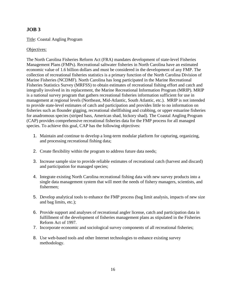# **JOB 3**

#### Title: Coastal Angling Program

#### Objectives:

The North Carolina Fisheries Reform Act (FRA) mandates development of state-level Fisheries Management Plans (FMPs). Recreational saltwater fisheries in North Carolina have an estimated economic value of 1.6 billion dollars and must be considered in the development of any FMP. The collection of recreational fisheries statistics is a primary function of the North Carolina Division of Marine Fisheries (NCDMF). North Carolina has long participated in the Marine Recreational Fisheries Statistics Survey (MRFSS) to obtain estimates of recreational fishing effort and catch and integrally involved in its replacement, the Marine Recreational Information Program (MRIP). MRIP is a national survey program that gathers recreational fisheries information sufficient for use in management at regional levels (Northeast, Mid-Atlantic, South Atlantic, etc.). MRIP is not intended to provide state-level estimates of catch and participation and provides little to no information on fisheries such as flounder gigging, recreational shellfishing and crabbing, or upper estuarine fisheries for anadromous species (striped bass, American shad, hickory shad). The Coastal Angling Program (CAP) provides comprehensive recreational fisheries data for the FMP process for all managed species. To achieve this goal, CAP has the following objectives:

- 1. Maintain and continue to develop a long-term modular platform for capturing, organizing, and processing recreational fishing data;
- 2. Create flexibility within the program to address future data needs;
- 3. Increase sample size to provide reliable estimates of recreational catch (harvest and discard) and participation for managed species;
- 4. Integrate existing North Carolina recreational fishing data with new survey products into a single data management system that will meet the needs of fishery managers, scientists, and fishermen;
- 5. Develop analytical tools to enhance the FMP process (bag limit analysis, impacts of new size and bag limits, etc.);
- 6. Provide support and analyses of recreational angler license, catch and participation data in fulfillment of the development of fisheries management plans as stipulated in the Fisheries Reform Act of 1997.
- 7. Incorporate economic and sociological survey components of all recreational fisheries;
- 8. Use web-based tools and other Internet technologies to enhance existing survey methodology.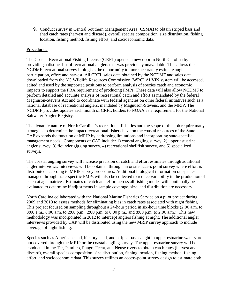9. Conduct survey in Central Southern Management Area (CSMA) to obtain striped bass and shad catch rates (harvest and discard), overall species composition, size distribution, fishing location, fishing method, fishing effort, and socioeconomic data.

#### Procedures:

The Coastal Recreational Fishing License (CRFL) opened a new door in North Carolina by providing a distinct list of recreational anglers that was previously unavailable. This allows the NCDMF recreational survey biologists the opportunity to more accurately estimate angler participation, effort and harvest. All CRFL sales data obtained by the NCDMF and sales data downloaded from the NC Wildlife Resources Commission (WRC) ALVIN system will be accessed, edited and used by the supported positions to perform analysis of species catch and economic impacts to support the FRA requirement of producing FMPs. These data will also allow NCDMF to perform detailed and accurate analysis of recreational catch and effort as mandated by the federal Magnuson-Stevens Act and to coordinate with federal agencies on other federal initiatives such as a national database of recreational anglers, mandated by Magnuson-Stevens, and the MRIP. The NCDMF provides updates each month of CRFL holders to NOAA as a requirement for the National Saltwater Angler Registry.

The dynamic nature of North Carolina's recreational fisheries and the scope of this job require many strategies to determine the impact recreational fishers have on the coastal resources of the State. CAP expands the function of MRIP by addressing limitations and incorporating state-specific management needs. Components of CAP include: 1) coastal angling survey, 2) upper estuarine angler survey, 3) flounder gigging survey, 4) recreational shellfish survey, and 5) specialized surveys.

The coastal angling survey will increase precision of catch and effort estimates through additional angler interviews. Interviews will be obtained through an onsite access point survey where effort is distributed according to MRIP survey procedures. Additional biological information on species managed through state-specific FMPs will also be collected to reduce variability in the production of catch at age matrices. Estimates of catch and effort across all fishing modes will continually be evaluated to determine if adjustments in sample coverage, size, and distribution are necessary.

North Carolina collaborated with the National Marine Fisheries Service on a pilot project during 2009 and 2010 to assess methods for eliminating bias in catch rates associated with night fishing. This project focused on sampling throughout a 24-hour period in six-hour time blocks (2:00 a.m. to 8:00 a.m., 8:00 a.m. to 2:00 p.m., 2:00 p.m. to 8:00 p.m., and 8:00 p.m. to 2:00 a.m.). This new methodology was incorporated in 2012 to intercept anglers fishing at night. The additional angler interviews provided by CAP will be distributed using the new MRIP survey approach to include coverage of night fishing.

Species such as American shad, hickory shad, and striped bass caught in upper estuarine waters are not covered through the MRIP or the coastal angling survey. The upper estuarine survey will be conducted in the Tar, Pamlico, Pungo, Trent, and Neuse rivers to obtain catch rates (harvest and discard), overall species composition, size distribution, fishing location, fishing method, fishing effort, and socioeconomic data. This survey utilizes an access-point survey design to estimate both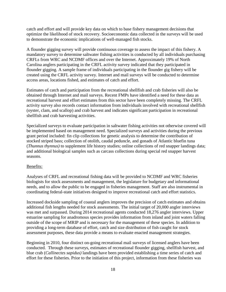catch and effort and will provide key data on which to base fishery management decisions that optimize the likelihood of stock recovery. Socioeconomic data collected in the surveys will be used to demonstrate the economic implications of well-managed fish stocks.

A flounder gigging survey will provide continuous coverage to assess the impact of this fishery. A mandatory survey to determine saltwater fishing activities is conducted by all individuals purchasing CRFLs from WRC and NCDMF offices and over the Internet. Approximately 19% of North Carolina anglers participating in the CRFL activity survey indicated that they participated in flounder gigging. A sample frame of individuals participating in the flounder gig fishery will be created using the CRFL activity survey. Internet and mail surveys will be conducted to determine access areas, locations fished, and estimates of catch and effort.

Estimates of catch and participation from the recreational shellfish and crab fisheries will also be obtained through Internet and mail surveys. Recent FMPs have identified a need for these data as recreational harvest and effort estimates from this sector have been completely missing. The CRFL activity survey also records contact information from individuals involved with recreational shellfish (oyster, clam, and scallop) and crab harvest and indicates significant participation in recreational shellfish and crab harvesting activities.

Specialized surveys to evaluate participation in saltwater fishing activities not otherwise covered will be implemented based on management need. Specialized surveys and activities during the previous grant period included: fin clip collections for genetic analysis to determine the contribution of stocked striped bass; collection of otolith, caudal peduncle, and gonads of Atlantic bluefin tuna (*Thunnus thynnus)* to supplement life history studies; online collections of red snapper landings data; and additional biological samples such as carcass collections during special red snapper harvest seasons.

#### Benefits:

Analyses of CRFL and recreational fishing data will be provided to NCDMF and WRC fisheries biologists for stock assessments and management, the legislature for budgetary and informational needs, and to allow the public to be engaged in fisheries management. Staff are also instrumental in coordinating federal-state initiatives designed to improve recreational catch and effort statistics.

Increased dockside sampling of coastal anglers improves the precision of catch estimates and obtains additional fish lengths needed for stock assessments. The initial target of 20,000 angler interviews was met and surpassed. During 2014 recreational agents conducted 18,276 angler interviews. Upper estuarine sampling for anadromous species provides information from inland and joint waters falling outside of the scope of MRIP and is necessary for the management of these species. In addition to providing a long-term database of effort, catch and size distribution of fish caught for stock assessment purposes, these data provide a means to evaluate enacted management strategies.

Beginning in 2010, four distinct on-going recreational mail surveys of licensed anglers have been conducted. Through these surveys, estimates of recreational flounder gigging, shellfish harvest, and blue crab (*Callinectes sapidus)* landings have been provided establishing a time series of catch and effort for these fisheries. Prior to the initiation of this project, information from these fisheries was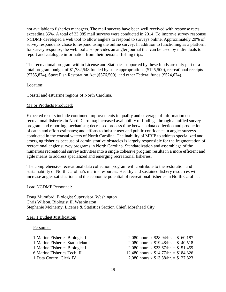not available to fisheries managers. The mail surveys have been well received with response rates exceeding 35%. A total of 23,985 mail surveys were conducted in 2014. To improve survey response NCDMF developed a web tool to allow anglers to respond to surveys online. Approximately 20% of survey respondents chose to respond using the online survey. In addition to functioning as a platform for survey response, the web tool also provides an angler journal that can be used by individuals to report and catalogue information from their personal fishing trips.

The recreational program within License and Statistics supported by these funds are only part of a total program budget of \$1,782,548 funded by state appropriations (\$125,500), recreational receipts (\$755,874), Sport Fish Restoration Act (\$376,500), and other Federal funds (\$524,674).

#### Location:

Coastal and estuarine regions of North Carolina.

#### Major Products Produced:

Expected results include continued improvements in quality and coverage of information on recreational fisheries in North Carolina; increased availability of findings through a unified survey program and reporting mechanism; decreased process time between data collection and production of catch and effort estimates; and efforts to bolster user and public confidence in angler surveys conducted in the coastal waters of North Carolina. The inability of MRIP to address specialized and emerging fisheries because of administrative obstacles is largely responsible for the fragmentation of recreational angler survey programs in North Carolina. Standardization and assemblage of the numerous recreational survey activities into a single cohesive program results in a more efficient and agile means to address specialized and emerging recreational fisheries.

The comprehensive recreational data collection program will contribute to the restoration and sustainability of North Carolina's marine resources. Healthy and sustained fishery resources will increase angler satisfaction and the economic potential of recreational fisheries in North Carolina.

#### Lead NCDMF Personnel:

Doug Mumford, Biologist Supervisor, Washington Chris Wilson, Biologist II, Washington Stephanie McInerny, License & Statistics Section Chief, Morehead City

#### Year 1 Budget Justification:

#### Personnel

1 Marine Fisheries Biologist II 2,080 hours x \$28.94/hr. = \$ 60,187 1 Marine Fisheries Statistician I 2,080 hours x \$19.48/hr. = \$ 40,518 1 Marine Fisheries Biologist I 2,080 hours x \$23.67/hr. = \$ 51,459 6 Marine Fisheries Tech. II 12,480 hours x \$14.77/hr. = \$184,326 1 Data Control Clerk IV 2,080 hours x \$13.38/hr. = \$ 27,823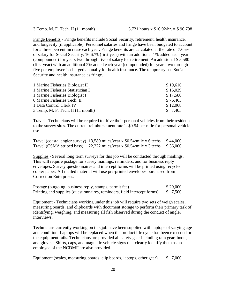Fringe Benefits - Fringe benefits include Social Security, retirement, health insurance, and longevity (if applicable). Personnel salaries and fringe have been budgeted to account for a three percent increase each year. Fringe benefits are calculated at the rate of 7.65% of salary for Social Security, 16.67% (first year) with an additional 1% added each year (compounded) for years two through five of salary for retirement. An additional \$ 5,580 (first year) with an additional 2% added each year (compounded) for years two through five per employee is charged annually for health insurance. The temporary has Social Security and health insurance as fringe.

| \$19,616 |
|----------|
| \$15,029 |
| \$17,580 |
| \$76,465 |
| \$12,068 |
| \$7,405  |
|          |

Travel - Technicians will be required to drive their personal vehicles from their residence to the survey sites. The current reimbursement rate is \$0.54 per mile for personal vehicle use.

|                            | Travel (coastal angler survey) $13,580$ miles/year x \$0.54/mile x 6 techs \$44,000 |  |
|----------------------------|-------------------------------------------------------------------------------------|--|
| Travel (CSMA striped bass) | 22,222 miles/year x $$0.54/mile x 3$ techs $$36,000$                                |  |

Supplies - Several long term surveys for this job will be conducted through mailings. This will require postage for survey mailings, reminders, and for business reply envelopes. Survey questionnaires and intercept forms will be printed using recycled copier paper. All mailed material will use pre-printed envelopes purchased from Correction Enterprises.

| Postage (outgoing, business reply, stamps, permit fee)                   | \$29,000 |
|--------------------------------------------------------------------------|----------|
| Printing and supplies (questionnaires, reminders, field intercept forms) | \$7,500  |

Equipment - Technicians working under this job will require two sets of weigh scales, measuring boards, and clipboards with document storage to perform their primary task of identifying, weighing, and measuring all fish observed during the conduct of angler interviews.

Technicians currently working on this job have been supplied with laptops of varying age and condition. Laptops will be replaced when the product life cycle has been exceeded or the equipment fails. Technicians are provided all safety gear including rain gear, boots, and gloves. Shirts, caps, and magnetic vehicle signs that clearly identify them as an employee of the NCDMF are also provided.

|  | Equipment (scales, measuring boards, clip boards, laptops, other gear) |  |  |  |  |  | \$7,000 |
|--|------------------------------------------------------------------------|--|--|--|--|--|---------|
|--|------------------------------------------------------------------------|--|--|--|--|--|---------|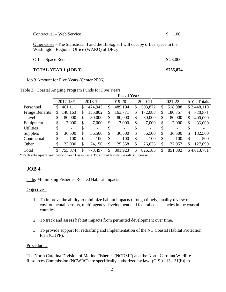| <b>TOTAL YEAR 1 (JOB 3)</b>                                                                                                       | \$755,874 |
|-----------------------------------------------------------------------------------------------------------------------------------|-----------|
| <b>Office Space Rent</b>                                                                                                          | \$23,000  |
| Other Costs - The Statistician I and the Biologist I will occupy office space in the<br>Washington Regional Office (WARO) of DEQ. |           |
| Contractual – Web Service                                                                                                         | 100       |

Job 3 Amount for Five Years (Center 2F06):

|                        | <b>Fiscal Year</b> |                         |    |                          |    |                    |    |         |    |                          |              |             |
|------------------------|--------------------|-------------------------|----|--------------------------|----|--------------------|----|---------|----|--------------------------|--------------|-------------|
|                        |                    | $2017 - 18*$<br>2018-19 |    |                          |    | 2019-20<br>2020-21 |    |         |    | 2021-22                  | 5 Yr. Totals |             |
| Personnel              | \$                 | 461,111                 | \$ | 474,945                  | \$ | 489,194            | \$ | 503,872 | \$ | 518,988                  |              | \$2,448,110 |
| <b>Fringe Benefits</b> | \$                 | 148,163                 | \$ | 155,802                  | \$ | 163,771            | \$ | 172,088 | \$ | 180,757                  | \$           | 820,581     |
| Travel                 | \$                 | 80,000                  | \$ | 80,000                   | \$ | 80,000             | \$ | 80,000  | \$ | 80,000                   | \$           | 400,000     |
| Equipment              | \$                 | 7,000                   | \$ | 7,000                    | \$ | 7,000              | \$ | 7,000   | \$ | 7,000                    | \$           | 35,000      |
| <b>Utilities</b>       | \$                 | -                       | \$ | $\overline{\phantom{0}}$ | \$ |                    | \$ |         |    | $\overline{\phantom{a}}$ | \$           |             |
| <b>Supplies</b>        | \$                 | 36,500                  | \$ | 36,500                   | \$ | 36,500             | \$ | 36,500  | \$ | 36,500                   | \$           | 182,500     |
| Contractual            | \$                 | 100                     | \$ | 100                      | \$ | 100                | \$ | 100     | \$ | 100                      | \$           | 500         |
| Other                  | \$                 | 23,000                  | \$ | 24,150                   | \$ | 25,358             | \$ | 26,625  | \$ | 27,957                   | \$           | 127,090     |
| Total                  | \$                 | 755,874                 | \$ | 778,497                  | \$ | 801,923            | \$ | 826,185 | \$ | 851,302                  |              | \$4,013,781 |

<span id="page-21-1"></span>Table 3. Coastal Angling Program Funds for Five Years.

\* Each subsequent year beyond year 1 assumes a 3% annual legislative salary increase.

# <span id="page-21-0"></span>**JOB 4**

Title: Minimizing Fisheries Related Habitat Impacts

#### Objectives:

- 1. To improve the ability to minimize habitat impacts through timely, quality review of environmental permits, multi-agency development and federal consistencies in the coastal counties.
- 2. To track and assess habitat impacts from permitted development over time.
- 3. To provide support for redrafting and implementation of the NC Coastal Habitat Protection Plan (CHPP).

#### Procedures:

The North Carolina Division of Marine Fisheries (NCDMF) and the North Carolina Wildlife Resources Commission (NCWRC) are specifically authorized by law [(G.S.) 113-131(b)] to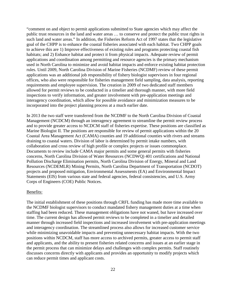"comment on and object to permit applications submitted to State agencies which may affect the public trust resources in the land and water areas … to conserve and protect the public trust rights in such land and water areas." In addition, the Fisheries Reform Act of 1997 states that the legislative goal of the CHPP is to enhance the coastal fisheries associated with each habitat. Two CHPP goals to achieve this are 1) Improve effectiveness of existing rules and programs protecting coastal fish habitats; and 2) Enhance habitat and protect it from physical impacts. Adequate review of permit applications and coordination among permitting and resource agencies is the primary mechanism used in North Carolina to minimize and avoid habitat impacts and enforce existing habitat protection rules. Until 2009, North Carolina Division of Marine Fisheries (NCDMF) review of these permit applications was an additional job responsibility of fishery biologist supervisors in four regional offices, who also were responsible for fisheries management field sampling, data analysis, reporting requirements and employee supervision. The creation in 2009 of two dedicated staff members allowed for permit reviews to be conducted in a timelier and thorough manner, with more field inspections to verify information, and greater involvement with pre-application meetings and interagency coordination, which allow for possible avoidance and minimization measures to be incorporated into the project planning process at a much earlier date.

In 2013 the two staff were transferred from the NCDMF to the North Carolina Division of Coastal Management (NCDCM) through an interagency agreement to streamline the permit review process and to provide greater access to NCDCM staff of fisheries expertise. These positions are classified as Marine Biologist II. The positions are responsible for review of permit applications within the 20 Coastal Area Management Act (CAMA) counties and 19 additional counties with rivers and streams draining to coastal waters. Division of labor is determined by permit intake numbers, with collaboration and cross review of high profile or complex projects or issues commonplace. Documents to review include CAMA major permits and some general permits with fisheries concerns, North Carolina Division of Water Resources (NCDWQ) 401 certifications and National Pollution Discharge Elimination permits, North Carolina Division of Energy, Mineral and Land Resources (NCDEMLR) Mining Permits, North Carolina Department of Transportation (NCDOT) projects and proposed mitigation, Environmental Assessments (EA) and Environmental Impact Statements (EIS) from various state and federal agencies, federal consistencies, and U.S. Army Corps of Engineers (COE) Public Notices.

#### Benefits:

The initial establishment of these positions through CRFL funding has made more time available to the NCDMF biologist supervisors to conduct mandated fishery management duties at a time when staffing had been reduced. These management obligations have not waned, but have increased over time. The current design has allowed permit reviews to be completed in a timelier and detailed manner through increased field inspections and increased involvement with pre-application meetings and interagency coordination. The streamlined process also allows for increased customer service while minimizing unavoidable impacts and preventing unnecessary habitat impacts. With the two positions within NCDCM, staff has more access to archived permits, greater access to permit staff and applicants, and the ability to present fisheries related concerns and issues at an earlier stage in the permit process that can minimize delays and challenges with complex permits. Staff routinely discusses concerns directly with applicants and provides an opportunity to modify projects which can reduce permit times and applicant costs.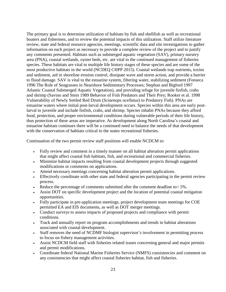The primary goal is to determine utilization of habitats by fish and shellfish as well as recreational boaters and fishermen, and to review the potential impacts of this utilization. Staff utilize literature review, state and federal resource agencies, meetings, scientific data and site investigations to gather information on each project as necessary to provide a complete review of the project and to justify any comments presented. Habitats such as submerged aquatic vegetation (SAV), primary nursery area (PNA), coastal wetlands, oyster beds, etc. are vital to the continued management of fisheries species. These habitats are vital to multiple life history stages of these species and are some of the most productive habitats in the world (NCDEQ CHPP 2015). Coastal wetlands trap nutrients, toxins and sediment, aid in shoreline erosion control, dissipate wave and storm action, and provide a barrier to flood damage. SAV is vital to the estuarine system, filtering water, stabilizing sediment (Fonseca 1996 The Role of Seagrasses in Nearshore Sedimentary Processes; Stephan and Bigford 1997 Atlantic Coastal Submerged Aquatic Vegetation), and providing refuge for juvenile finfish, crabs and shrimp (Savino and Stein 1989 Behavior of Fish Predators and Their Prey; Rooker et al. 1998 Vulnerability of Newly Settled Red Drum (*Sciaenops ocellatus*) to Predatory Fish). PNAs are estuarine waters where initial post-larval development occurs. Species within this area are early postlarval to juvenile and include finfish, crabs, and shrimp. Species inhabit PNAs because they afford food, protection, and proper environmental conditions during vulnerable periods of their life history, thus protection of these areas are imperative. As development along North Carolina's coastal and estuarine habitats continues there will be a continued need to balance the needs of that development with the conservation of habitats critical to the states recreational fisheries.

Continuation of the two permit review staff positions will enable NCDCM to:

- Fully review and comment in a timely manner on all habitat alteration permit applications that might affect coastal fish habitats, fish, and recreational and commercial fisheries.
- Minimize habitat impacts resulting from coastal development projects through suggested modifications or comments on applications.
- Attend necessary meetings concerning habitat alteration permit applications.
- Effectively coordinate with other state and federal agencies participating in the permit review process.
- Reduce the percentage of comments submitted after the comment deadline to  $< 5\%$ .
- Assist DOT on specific development project and the location of potential coastal mitigation opportunities.
- Fully participate in pre-application meetings, project development team meetings for COE permitted EA and EIS documents, as well as DOT merger meetings.
- Conduct surveys to assess impacts of proposed projects and compliance with permit conditions.
- Track and annually report on program accomplishments and trends in habitat alterations associated with coastal development.
- Staff removes the need of NCDMF biologist supervisor's involvement in permitting process to focus on fishery management activities.
- Assist NCDCM field staff with fisheries related issues concerning general and major permits and permit modifications.
- Coordinate federal National Marine Fisheries Service (NMFS) consistencies and comment on any consistencies that might affect coastal fisheries habitat, fish and fisheries.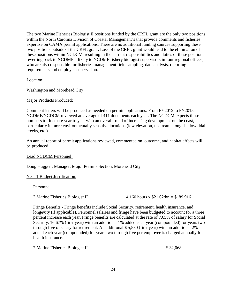The two Marine Fisheries Biologist II positions funded by the CRFL grant are the only two positions within the North Carolina Division of Coastal Management's that provide comments and fisheries expertise on CAMA permit applications. There are no additional funding sources supporting these two positions outside of the CRFL grant. Loss of the CRFL grant would lead to the elimination of these positions within NCDCM, resulting in the current responsibilities and duties of these positions reverting back to NCDMF – likely to NCDMF fishery biologist supervisors in four regional offices, who are also responsible for fisheries management field sampling, data analysis, reporting requirements and employee supervision.

#### Location:

Washington and Morehead City

#### Major Products Produced:

Comment letters will be produced as needed on permit applications. From FY2012 to FY2015, NCDMF/NCDCM reviewed an average of 411 documents each year. The NCDCM expects these numbers to fluctuate year to year with an overall trend of increasing development on the coast, particularly in more environmentally sensitive locations (low elevation, upstream along shallow tidal creeks, etc.).

An annual report of permit applications reviewed, commented on, outcome, and habitat effects will be produced.

#### Lead NCDCM Personnel:

Doug Huggett, Manager, Major Permits Section, Morehead City

#### Year 1 Budget Justification:

Personnel

2 Marine Fisheries Biologist II 4,160 hours x \$21.62/hr. = \$ 89,916

Fringe Benefits - Fringe benefits include Social Security, retirement, health insurance, and longevity (if applicable). Personnel salaries and fringe have been budgeted to account for a three percent increase each year. Fringe benefits are calculated at the rate of 7.65% of salary for Social Security, 16.67% (first year) with an additional 1% added each year (compounded) for years two through five of salary for retirement. An additional \$ 5,580 (first year) with an additional 2% added each year (compounded) for years two through five per employee is charged annually for health insurance.

| 2 Marine Fisheries Biologist II | \$32,068 |
|---------------------------------|----------|
|---------------------------------|----------|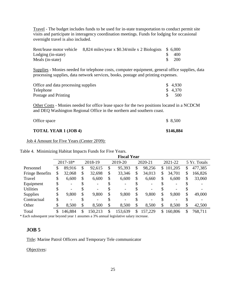Travel - The budget includes funds to be used for in-state transportation to conduct permit site visits and participate in interagency coordination meetings. Funds for lodging for occasional overnight travel is also included.

|                    | Rent/lease motor vehicle 8,824 miles/year x \$0.34/mile x 2 Biologists \$ 6,000 |      |
|--------------------|---------------------------------------------------------------------------------|------|
| Lodging (in-state) |                                                                                 | -400 |
| Meals (in-state)   |                                                                                 | 200  |

Supplies - Monies needed for telephone costs, computer equipment, general office supplies, data processing supplies, data network services, books, postage and printing expenses.

| Office and data processing supplies | \$ 4,930 |
|-------------------------------------|----------|
| Telephone                           | \$4,370  |
| Postage and Printing                | .500     |

Other Costs - Monies needed for office lease space for the two positions located in a NCDCM and DEQ Washington Regional Office in the northern and southern coast.

| <b>TOTAL YEAR 1 (JOB 4)</b> | \$146,884 |
|-----------------------------|-----------|
| Office space                | \$ 8,500  |

Job 4 Amount for Five Years (Center 2F09):

<span id="page-25-1"></span>Table 4. Minimizing Habitat Impacts Funds for Five Years.

|                        |              |               | <b>Fiscal Year</b> |    |         |                |                          |               |
|------------------------|--------------|---------------|--------------------|----|---------|----------------|--------------------------|---------------|
|                        | 2017-18*     | 2018-19       | 2019-20            |    | 2020-21 |                | 2021-22                  | 5 Yr. Totals  |
| Personnel              | \$<br>89,916 | \$<br>92,615  | \$<br>95,393       | \$ | 98,256  | $\mathbb{S}^-$ | 101,205                  | \$<br>477,385 |
| <b>Fringe Benefits</b> | \$<br>32,068 | \$<br>32,698  | \$<br>33,346       | \$ | 34,013  | \$             | 34,701                   | \$<br>166,826 |
| Travel                 | \$<br>6,600  | \$<br>6,600   | \$<br>6,600        | \$ | 6,660   | \$             | 6,600                    | \$<br>33,060  |
| Equipment              | \$           | \$            |                    |    |         |                | $\overline{\phantom{0}}$ |               |
| <b>Utilities</b>       | \$           | \$            |                    |    |         |                | $\overline{\phantom{0}}$ |               |
| <b>Supplies</b>        | \$<br>9,800  | \$<br>9,800   | \$<br>9,800        | \$ | 9,800   | \$             | 9,800                    | \$<br>49,000  |
| Contractual            | \$<br>۰      | \$            |                    |    |         |                | -                        |               |
| Other                  | 8,500        | \$<br>8,500   | \$<br>8,500        | \$ | 8,500   | \$             | 8,500                    | \$<br>42,500  |
| Total                  | 146,884      | \$<br>150,213 | \$<br>153,639      | S  | 157,229 | <sup>S</sup>   | 160,806                  | 768,711       |

\* Each subsequent year beyond year 1 assumes a 3% annual legislative salary increase.

## <span id="page-25-0"></span>**JOB 5**

Title: Marine Patrol Officers and Temporary Tele communicator

Objectives: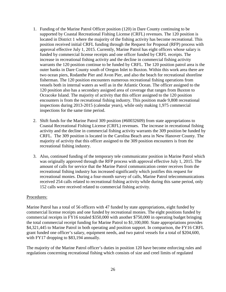- 1. Funding of the Marine Patrol Officer position (120) in Dare County continuing to be supported by Coastal Recreational Fishing License (CRFL) revenues. The 120 position is located in District 1 where the majority of the fishing activity has become recreational. This position received initial CRFL funding through the Request for Proposal (RFP) process with approval effective July 1, 2015. Currently, Marine Patrol has eight officers whose salary is funded by commercial license receipts and one officer funded by CRFL receipts. The increase in recreational fishing activity and the decline in commercial fishing activity warrants the 120 position continue to be funded by CRFL. The 120 position patrol area is the outer banks in Dare County south of Oregon Inlet to Buxton. Within this work area there are two ocean piers, Rodanthe Pier and Avon Pier, and also the beach for recreational shoreline fisherman. The 120 position encounters numerous recreational fishing operations from vessels both in internal waters as well as in the Atlantic Ocean. The officer assigned to the 120 position also has a secondary assigned area of coverage that ranges from Buxton to Ocracoke Island. The majority of activity that this officer assigned to the 120 position encounters is from the recreational fishing industry. This position made 9,808 recreational inspections during 2013-2015 (calendar years), while only making 1,975 commercial inspections for the same time period.
- 2. Shift funds for the Marine Patrol 309 position (#60032609) from state appropriations to Coastal Recreational Fishing License (CRFL) revenues. The increase in recreational fishing activity and the decline in commercial fishing activity warrants the 309 position be funded by CRFL. The 309 position is located in the Carolina Beach area in New Hanover County. The majority of activity that this officer assigned to the 309 position encounters is from the recreational fishing industry.
- 3. Also, continued funding of the temporary tele communicator position in Marine Patrol which was originally approved through the RFP process with approval effective July 1, 2015. The amount of calls for service that the Marine Patrol communication center receives from the recreational fishing industry has increased significantly which justifies this request for recreational monies. During a four-month survey of calls, Marine Patrol telecommunications received 254 calls related to recreational fishing activity while during this same period, only 152 calls were received related to commercial fishing activity.

#### Procedures:

Marine Patrol has a total of 56 officers with 47 funded by state appropriations, eight funded by commercial license receipts and one funded by recreational monies. The eight positions funded by commercial receipts in FY16 totaled \$350,000 with another \$750,000 in operating budget bringing the total commercial receipt funding for Marine Patrol to \$1,100,000. State appropriations provides \$4,321,445 to Marine Patrol in both operating and position support. In comparison, the FY16 CRFL grant funded one officer's salary, equipment needs, and two patrol vessels for a total of \$204,600, with FY17 dropping to \$83,194 annually.

The majority of the Marine Patrol officer's duties in position 120 have become enforcing rules and regulations concerning recreational fishing which consists of size and creel limits of regulated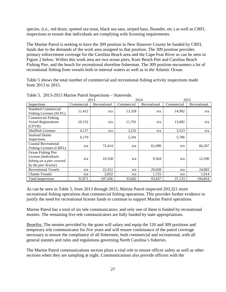species, (i.e., red drum, spotted sea trout, black sea sass, striped bass, flounder, etc.) as well as CRFL inspections to ensure that individuals are complying with licensing requirements.

The Marine Patrol is seeking to have the 309 position in New Hanover County be funded by CRFL funds due to the demands of the work area assigned to that position. The 309 position provides primary enforcement coverage for the Carolina Beach area and the Cape Fear River as can be seen in Figure 2 below. Within this work area are two ocean piers, Kure Beach Pier and Carolina Beach Fishing Pier, and the beach for recreational shoreline fisherman. The 309 position encounters a lot of recreational fishing from vessels both in internal waters as well as in the Atlantic Ocean.

Table 5 shows the total number of commercial and recreational fishing activity inspections made from 2013 to 2015.

|                                                                                                 |            | 2013         |            | 2014         |            | 2015         |
|-------------------------------------------------------------------------------------------------|------------|--------------|------------|--------------|------------|--------------|
| Inspections                                                                                     | Commercial | Recreational | Commercial | Recreational | Commercial | Recreational |
| <b>Standard Commercial</b><br>Fishing Licenses (SCFL)                                           | 11,412     | n/a          | 13,328     | n/a          | 14,902     | n/a          |
| <b>Commercial Fishing</b><br><b>Vessel Registrations</b><br>(CFVR)                              | 10,152     | n/a          | 11,701     | n/a          | 13,002     | n/a          |
| <b>Shellfish Licenses</b>                                                                       | 4,137      | n/a          | 3,232      | n/a          | 3,523      | n/a          |
| Seafood Dealer<br>Inspections                                                                   | 6,170      |              | 5,341      |              | 5,706      |              |
| <b>Coastal Recreational</b><br>Fishing Licenses (CRFL)                                          | n/a        | 72,414       | n/a        | 61,690       | n/a        | 66,267       |
| Ocean Fishing Pier<br>License (Individuals<br>fishing on a pier covered<br>by the pier license) | n/a        | 10,558       | n/a        | 9,564        | n/a        | 12,590       |
| <b>Recreational Vessels</b>                                                                     | n/a        | 22,412       | n/a        | 20,658       | n/a        | 24,083       |
| <b>Charter Vessels</b>                                                                          | n/a        | 2,052        | n/a        | 1,725        | n/a        | 1,914        |
| <b>Total Inspections</b>                                                                        | 31,871     | 107,436      | 33,602     | 93,637       | 37,133     | 104,854      |

<span id="page-27-0"></span>Table 5. 2013-2015 Marine Patrol Inspections – Statewide.

As can be seen in Table 5, from 2013 through 2015, Marine Patrol inspected 203,321 more recreational fishing operations than commercial fishing operations. This provides further evidence to justify the need for recreational license funds to continue to support Marine Patrol operations

Marine Patrol has a total of six tele communicators; and only one of them is funded by recreational monies. The remaining five tele communicators are fully funded by state appropriations.

Benefits: The monies provided by the grant will salary and equip the 120 and 309 positions and temporary tele communicator for five years and will ensure continuance of the patrol coverage necessary to ensure the compliance of all fishermen, both commercial and recreational, with all general statutes and rules and regulations governing North Carolina's fisheries.

The Marine Patrol communications section plays a vital role to ensure officer safety as well as other sections when they are sampling at night. Communications also provide officers with the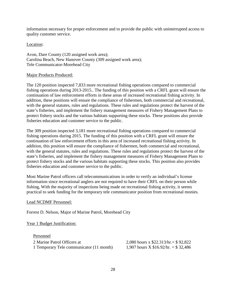information necessary for proper enforcement and to provide the public with uninterrupted access to quality customer service.

#### Location:

Avon, Dare County (120 assigned work area); Carolina Beach, New Hanover County (309 assigned work area); Tele Communicator-Morehead City

#### Major Products Produced:

The 120 position inspected 7,833 more recreational fishing operations compared to commercial fishing operations during 2013-2015.. The funding of this position with a CRFL grant will ensure the continuation of law enforcement efforts in these areas of increased recreational fishing activity. In addition, these positions will ensure the compliance of fishermen, both commercial and recreational, with the general statutes, rules and regulations. These rules and regulations protect the harvest of the state's fisheries, and implement the fishery management measures of Fishery Management Plans to protect fishery stocks and the various habitats supporting these stocks. These positions also provide fisheries education and customer service to the public.

The 309 position inspected 3,181 more recreational fishing operations compared to commercial fishing operations during 2015. The funding of this position with a CRFL grant will ensure the continuation of law enforcement efforts in this area of increased recreational fishing activity. In addition, this position will ensure the compliance of fishermen, both commercial and recreational, with the general statutes, rules and regulations. These rules and regulations protect the harvest of the state's fisheries, and implement the fishery management measures of Fishery Management Plans to protect fishery stocks and the various habitats supporting these stocks. This position also provides fisheries education and customer service to the public.

Most Marine Patrol officers call telecommunications in order to verify an individual's license information since recreational anglers are not required to have their CRFL on their person while fishing, With the majority of inspections being made on recreational fishing activity, it seems practical to seek funding for the temporary tele communicator position from recreational monies.

Lead NCDMF Personnel:

Forrest D. Nelson, Major of Marine Patrol, Morehead City

Year 1 Budget Justification:

Personnel 2 Marine Patrol Officers at 2,080 hours x \$22.313/hr.= \$ 92,822 1 Temporary Tele communicator (11 month)  $1,907$  hours X \$16.92/hr. = \$ 32,486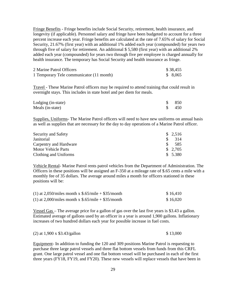Fringe Benefits - Fringe benefits include Social Security, retirement, health insurance, and longevity (if applicable). Personnel salary and fringe have been budgeted to account for a three percent increase each year. Fringe benefits are calculated at the rate of 7.65% of salary for Social Security, 21.67% (first year) with an additional 1% added each year (compounded) for years two through five of salary for retirement. An additional \$ 5,580 (first year) with an additional 2% added each year (compounded) for years two through five per employee is charged annually for health insurance. The temporary has Social Security and health insurance as fringe.

| 2 Marine Patrol Officers                 | \$38,455 |  |
|------------------------------------------|----------|--|
| 1 Temporary Tele communicator (11 month) | \$8,065  |  |

Travel - These Marine Patrol officers may be required to attend training that could result in overnight stays. This includes in state hotel and per diem for meals.

| Lodging (in-state) | 850   |
|--------------------|-------|
| Meals (in-state)   | - 450 |

Supplies, Uniforms- The Marine Patrol officers will need to have new uniforms on annual basis as well as supplies that are necessary for the day to day operations of a Marine Patrol officer.

| Security and Safety        |     | \$2,516 |
|----------------------------|-----|---------|
| Janitorial                 |     | 314     |
| Carpentry and Hardware     | SS. | 585     |
| <b>Motor Vehicle Parts</b> |     | \$2,705 |
| Clothing and Uniforms      |     | \$5.380 |

Vehicle Rental- Marine Patrol rents patrol vehicles from the Department of Administration. The Officers in these positions will be assigned an F-350 at a mileage rate of \$.65 cents a mile with a monthly fee of 35 dollars. The average around miles a month for officers stationed in these positions will be:

| (1) at 2,050/miles month x $$.65/mile + $35/morth$ | \$16,410 |
|----------------------------------------------------|----------|
| (1) at 2,000/miles month x $$.65/mile + $35/month$ | \$16,020 |

Vessel Gas – The average price for a gallon of gas over the last five years is \$3.43 a gallon. Estimated average of gallons used by an officer in a year is around 1,900 gallons. Inflationary increases of two hundred dollars each year for possible increase in fuel costs.

| $(2)$ at 1,900 x \$3.43/gallon | \$13,000 |
|--------------------------------|----------|
|--------------------------------|----------|

Equipment- In addition to funding the 120 and 309 positions Marine Patrol is requesting to purchase three large patrol vessels and three flat bottom vessels from funds from this CRFL grant. One large patrol vessel and one flat bottom vessel will be purchased in each of the first three years (FY18, FY19, and FY20). These new vessels will replace vessels that have been in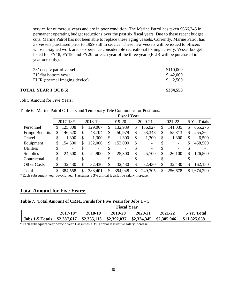service for numerous years and are in poor condition. The Marine Patrol has taken \$666,243 in permanent operating budget reductions over the past six fiscal years. Due to these recent budget cuts, Marine Patrol has not been able to replace these aging vessels. Currently, Marine Patrol has 37 vessels purchased prior to 1999 still in service. These new vessels will be issued to officers whose assigned work areas experience considerable recreational fishing activity. Vessel budget listed for FY18, FY19, and FY20 for each year of the three years (FLIR will be purchased in year one only).

| <b>TOTAL YEAR 1 (JOB 5)</b>   | \$384,558 |
|-------------------------------|-----------|
| FLIR (thermal imaging device) | \$2,500   |
| 21' flat bottom vessel        | \$42,000  |
| 23' deep v patrol vessel      | \$110,000 |

Job 5 Amount for Five Years:

<span id="page-30-0"></span>Table 6. Marine Patrol Officers and Temporary Tele Communicator Positions.

|                        |    |                          |               | <b>Fiscal Year</b> |                                |    |         |               |
|------------------------|----|--------------------------|---------------|--------------------|--------------------------------|----|---------|---------------|
|                        |    | 2017-18*                 | 2018-19       | 2019-20            | 2020-21                        |    | 2021-22 | 5 Yr. Totals  |
| Personnel              | S  | 125,308                  | \$<br>129,067 | \$<br>132,939      | \$<br>136,927                  | \$ | 141,035 | \$<br>665,276 |
| <b>Fringe Benefits</b> | \$ | 46,520                   | \$<br>48,704  | \$<br>50,979       | \$<br>53,348                   | \$ | 55,813  | \$<br>255,364 |
| Travel                 | \$ | 1,300                    | \$<br>1,300   | \$<br>1,300        | \$<br>1,300                    | \$ | 1,300   | \$<br>6,500   |
| Equipment              | \$ | 154,500                  | \$<br>152,000 | \$<br>152,000      | \$<br>$\overline{\phantom{a}}$ | S  |         | \$<br>458,500 |
| <b>Utilities</b>       | \$ | $\overline{\phantom{0}}$ |               |                    |                                |    |         |               |
| <b>Supplies</b>        | \$ | 24,500                   | \$<br>24,900  | \$<br>25,300       | \$<br>25,700                   | \$ | 26,100  | \$<br>126,500 |
| Contractual            | \$ | $\overline{\phantom{a}}$ |               |                    |                                |    |         |               |
| <b>Other Costs</b>     |    | 32,430                   | 32,430        | \$<br>32,430       | 32,430                         | S  | 32,430  | \$<br>162,150 |
| Total                  | \$ | 384,558                  | 388,401       | \$<br>394,948      | \$<br>249,705                  | S  | 256,678 | \$1,674,290   |

\* Each subsequent year beyond year 1 assumes a 3% annual legislative salary increase.

#### **Total Amount for Five Years:**

#### <span id="page-30-1"></span>**Table 7. Total Amount of CRFL Funds for Five Years for Jobs 1 – 5.**

|                                                                                          | <b>Fiscal Year</b> |         |         |         |         |             |  |  |  |  |
|------------------------------------------------------------------------------------------|--------------------|---------|---------|---------|---------|-------------|--|--|--|--|
|                                                                                          | $2017 - 18*$       | 2018-19 | 2019-20 | 2020-21 | 2021-22 | 5 Yr. Total |  |  |  |  |
| Jobs 1-5 Totals \$2,387,617 \$2,335,113 \$2,392,037 \$2,324,345 \$2,385,946 \$11,825,058 |                    |         |         |         |         |             |  |  |  |  |

\* Each subsequent year beyond year 1 assumes a 3% annual legislative salary increase.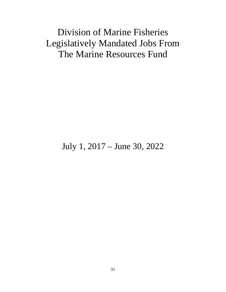# Division of Marine Fisheries Legislatively Mandated Jobs From The Marine Resources Fund

July 1, 2017 – June 30, 2022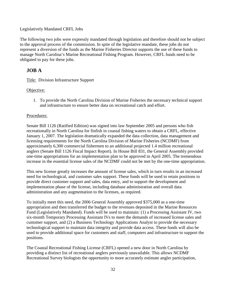#### Legislatively Mandated CRFL Jobs

The following two jobs were expressly mandated through legislation and therefore should not be subject to the approval process of the commission. In spite of the legislative mandate, these jobs do not represent a diversion of the funds as the Marine Fisheries Director supports the use of these funds to manage North Carolina's Marine Recreational Fishing Program. However, CRFL funds need to be obligated to pay for these jobs.

## <span id="page-32-0"></span>**JOB A**

Title: Division Infrastructure Support

#### Objective:

1. To provide the North Carolina Division of Marine Fisheries the necessary technical support and infrastructure to ensure better data on recreational catch and effort.

#### Procedures:

Senate Bill 1126 (Ratified Edition) was signed into law September 2005 and persons who fish recreationally in North Carolina for finfish in coastal fishing waters to obtain a CRFL, effective January 1, 2007. The legislation dramatically expanded the data collection, data management and licensing requirements for the North Carolina Division of Marine Fisheries (NCDMF) from approximately 6,300 commercial fishermen to an additional projected 1.4 million recreational anglers (Senate Bill 1126 Fiscal Impact Report). In House Bill 831, the General Assembly provided one-time appropriations for an implementation plan to be approved in April 2005. The tremendous increase in the essential license sales of the NCDMF could not be met by the one-time appropriation.

This new license greatly increases the amount of license sales, which in turn results in an increased need for technological, and customer sales support. These funds will be used to retain positions to provide direct customer support and sales, data entry, and to support the development and implementation phase of the license, including database administration and overall data administration and any augmentation to the licenses, as required.

To initially meet this need, the 2006 General Assembly approved \$375,000 as a one-time appropriation and then transferred the budget to the revenues deposited in the Marine Resources Fund (Legislatively Mandated). Funds will be used to maintain: (1) a Processing Assistant IV, two six-month Temporary Processing Assistant IVs to meet the demands of increased license sales and customer support, and (2) a Business Technology Applications Analyst to provide the necessary technological support to maintain data integrity and provide data access. These funds will also be used to provide additional space for customers and staff, computers and infrastructure to support the positions.

The Coastal Recreational Fishing License (CRFL) opened a new door in North Carolina by providing a distinct list of recreational anglers previously unavailable. This allows NCDMF Recreational Survey biologists the opportunity to more accurately estimate angler participation,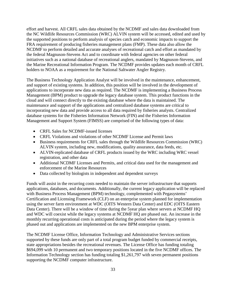effort and harvest. All CRFL sales data obtained by the NCDMF and sales data downloaded from the NC Wildlife Resources Commission (WRC) ALVIN system will be accessed, edited and used by the supported positions to perform analysis of species catch and economic impacts to support the FRA requirement of producing fisheries management plans (FMP). These data also allow the NCDMF to perform detailed and accurate analyses of recreational catch and effort as mandated by the federal Magnuson-Stevens Act and to coordinate with federal agencies on other federal initiatives such as a national database of recreational anglers, mandated by Magnuson-Stevens, and the Marine Recreational Information Program. The NCDMF provides updates each month of CRFL holders to NOAA as a requirement for the National Saltwater Angler Registry.

The Business Technology Application Analyst will be involved in the maintenance, enhancement, and support of existing systems. In addition, this position will be involved in the development of applications to incorporate new data as required. The NCDMF is implementing a Business Process Management (BPM) product to upgrade the legacy database system. This product functions in the cloud and will connect directly to the existing database where the data is maintained. The maintenance and support of the applications and centralized database systems are critical to incorporating new data and provide access to all data required by fisheries analysts. Centralized database systems for the Fisheries Information Network (FIN) and the Fisheries Information Management and Support System (FIMSS) are comprised of the following types of data:

- CRFL Sales for NCDMF-issued licenses
- CRFL Violations and violations of other NCDMF License and Permit laws
- Business requirements for CRFL sales through the Wildlife Resources Commission (WRC) ALVIN system, including new, modifications, quality assurance, data feeds, etc.
- ALVIN-replicated database of CRFL products issued by the WRC including WRC vessel registration, and other data
- Additional NCDMF Licenses and Permits, and critical data used for the management and enforcement of the Marine Resources
- Data collected by biologists in independent and dependent surveys

Funds will assist in the recurring costs needed to maintain the server infrastructure that supports applications, databases, and documents. Additionally, the current legacy application will be replaced with Business Process Management (BPM) technology, complemented with Pegasystems' Certification and Licensing Framework (CLF) on an enterprise system planned for implementation using the server farm environment at WDC (OITS Western Data Center) and EDC (OITS Eastern Data Center). There will be a window of time during the 5year plan where servers at NCDMF HQ and WDC will coexist while the legacy systems at NCDMF HQ are phased out. An increase in the monthly recurring operational costs is anticipated during the period where the legacy system is phased out and applications are implemented on the new BPM enterprise system.

The NCDMF License Office, Information Technology and Administrative Services sections supported by these funds are only part of a total program budget funded by commercial receipts, state appropriations besides the recreational revenues. The License Office has funding totaling \$694,099 with 10 permanent and two temporary positions located in the five NCDMF offices. The Information Technology section has funding totaling \$1,261,797 with seven permanent positions supporting the NCDMF computer infrastructure.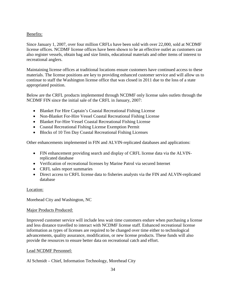### Benefits:

Since January 1, 2007, over four million CRFLs have been sold with over 22,000, sold at NCDMF license offices. NCDMF license offices have been shown to be an effective outlet as customers can also register vessels, obtain bag and size limits, educational materials and other items of interest to recreational anglers.

Maintaining license offices at traditional locations ensure customers have continued access to these materials. The license positions are key to providing enhanced customer service and will allow us to continue to staff the Washington license office that was closed in 2011 due to the loss of a state appropriated position.

Below are the CRFL products implemented through NCDMF only license sales outlets through the NCDMF FIN since the initial sale of the CRFL in January, 2007:

- Blanket For Hire Captain's Coastal Recreational Fishing License
- Non-Blanket For-Hire Vessel Coastal Recreational Fishing License
- Blanket For-Hire Vessel Coastal Recreational Fishing License
- Coastal Recreational Fishing License Exemption Permit
- Blocks of 10 Ten Day Coastal Recreational Fishing Licenses

Other enhancements implemented in FIN and ALVIN-replicated databases and applications:

- FIN enhancement providing search and display of CRFL license data via the ALVINreplicated database
- Verification of recreational licenses by Marine Patrol via secured Internet
- CRFL sales report summaries
- Direct access to CRFL license data to fisheries analysts via the FIN and ALVIN-replicated database

#### Location:

Morehead City and Washington, NC

#### Major Products Produced:

Improved customer service will include less wait time customers endure when purchasing a license and less distance travelled to interact with NCDMF license staff. Enhanced recreational license information as types of licenses are required to be changed over time either to technological advancements, quality assurance, modification, or new license products. These funds will also provide the resources to ensure better data on recreational catch and effort.

#### Lead NCDMF Personnel:

#### Al Schmidt – Chief, Information Technology, Morehead City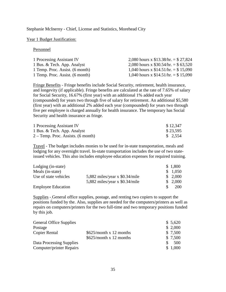#### Stephanie McInerny - Chief, License and Statistics, Morehead City

#### Year 1 Budget Justification:

Personnel

| 1 Processing Assistant IV       | 2,080 hours x $$13.38/hr. = $27.824$ |
|---------------------------------|--------------------------------------|
| 1 Bus. & Tech. App. Analyst     | 2,080 hours x $$30.54/hr = $63,520$  |
| 1 Temp. Proc. Assist. (6 month) | 1,040 hours x $$14.51/hr = $15,090$  |
| 1 Temp. Proc. Assist. (6 month) | 1,040 hours x $$14.51/hr = $15,090$  |

Fringe Benefits - Fringe benefits include Social Security, retirement, health insurance, and longevity (if applicable). Fringe benefits are calculated at the rate of 7.65% of salary for Social Security, 16.67% (first year) with an additional 1% added each year (compounded) for years two through five of salary for retirement. An additional \$5,580 (first year) with an additional 2% added each year (compounded) for years two through five per employee is charged annually for health insurance. The temporary has Social Security and health insurance as fringe.

| 1 Processing Assistant IV            | \$12,347 |
|--------------------------------------|----------|
| 1 Bus. & Tech. App. Analyst          | \$23,595 |
| $2 - Temp. Proc. Assists. (6 month)$ | \$2,554  |

Travel - The budget includes monies to be used for in-state transportation, meals and lodging for any overnight travel. In-state transportation includes the use of two stateissued vehicles. This also includes employee education expenses for required training.

| Lodging (in-state)        |                                 | \$1,800    |
|---------------------------|---------------------------------|------------|
| Meals (in-state)          |                                 | \$1,050    |
| Use of state vehicles     | 5,882 miles/year x $$0.34/mile$ | \$2,000    |
|                           | 5,882 miles/year x $$0.34/mile$ | \$2,000    |
| <b>Employee Education</b> |                                 | <b>200</b> |

Supplies - General office supplies, postage, and renting two copiers to support the positions funded by the. Also, supplies are needed for the computers/printers as well as repairs on computers/printers for the two full-time and two temporary positions funded by this job.

| <b>General Office Supplies</b>  |                               | \$5,620 |
|---------------------------------|-------------------------------|---------|
| Postage                         |                               | \$2,000 |
| <b>Copier Rental</b>            | $$625/month \times 12$ months | \$7,500 |
|                                 | \$625/month x 12 months       | \$7,500 |
| Data Processing Supplies        |                               | 500     |
| <b>Computer/printer Repairs</b> |                               | \$1,000 |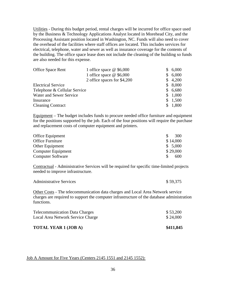Utilities - During this budget period, rental charges will be incurred for office space used by the Business & Technology Applications Analyst located in Morehead City, and the Processing Assistant position located in Washington, NC. Funds will also need to cover the overhead of the facilities where staff offices are located. This includes services for electrical, telephone, water and sewer as well as insurance coverage for the contents of the building. The office space lease does not include the cleaning of the building so funds are also needed for this expense.

| <b>Office Space Rent</b>     | 1 office space $@$ \$6,000  | S. | 6,000   |
|------------------------------|-----------------------------|----|---------|
|                              | 1 office space $@$ \$6,000  |    | \$6,000 |
|                              | 2 office spaces for \$4,200 |    | \$4,200 |
| <b>Electrical Service</b>    |                             |    | \$8,000 |
| Telephone & Cellular Service |                             |    | \$6,680 |
| Water and Sewer Service      |                             |    | \$1,000 |
| Insurance                    |                             |    | \$1,500 |
| <b>Cleaning Contract</b>     |                             |    | \$1,800 |

Equipment – The budget includes funds to procure needed office furniture and equipment for the positions supported by the job. Each of the four positions will require the purchase and replacement costs of computer equipment and printers.

| Office Equipment         |  | 300      |
|--------------------------|--|----------|
| Office Furniture         |  | \$14,000 |
| <b>Other Equipment</b>   |  | \$5,000  |
| Computer Equipment       |  | \$29,000 |
| <b>Computer Software</b> |  | 600      |

Contractual - Administrative Services will be required for specific time-limited projects needed to improve infrastructure.

| <b>Administrative Services</b> | \$59,375 |
|--------------------------------|----------|
|--------------------------------|----------|

Other Costs - The telecommunication data charges and Local Area Network service charges are required to support the computer infrastructure of the database administration functions.

| <b>TOTAL YEAR 1 (JOB A)</b>           | \$411,845 |
|---------------------------------------|-----------|
| Local Area Network Service Charge     | \$24,000  |
| <b>Telecommunication Data Charges</b> | \$53,200  |

#### Job A Amount for Five Years (Centers 2145 1551 and 2145 1552):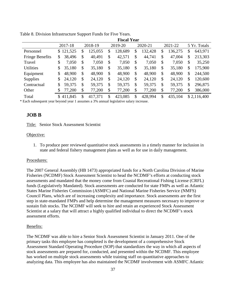|                        |                           |               | <b>Fiscal Year</b> |               |               |               |
|------------------------|---------------------------|---------------|--------------------|---------------|---------------|---------------|
|                        | 2017-18                   | 2018-19       | 2019-20            | 2020-21       | 2021-22       | 5 Yr. Totals  |
| Personnel              | 121,525<br>$\mathbb{S}^-$ | \$<br>125,055 | \$<br>128,689      | \$<br>132,428 | \$<br>136,275 | \$<br>643,971 |
| <b>Fringe Benefits</b> | 38,496<br>\$              | \$<br>40,491  | \$<br>42,571       | \$<br>44,741  | \$<br>47,004  | \$<br>213,303 |
| Travel                 | 7,050<br>\$               | \$<br>7,050   | \$<br>7,050        | \$<br>7,050   | \$<br>7,050   | \$<br>35,250  |
| <b>Utilities</b>       | 35,180<br>\$              | \$<br>35,180  | \$<br>35,180       | \$<br>35,180  | \$<br>35,180  | \$<br>175,900 |
| Equipment              | 48,900<br>\$              | \$<br>48,900  | \$<br>48,900       | \$<br>48,900  | \$<br>48,900  | \$<br>244,500 |
| <b>Supplies</b>        | 24,120<br>\$              | \$<br>24,120  | \$<br>24,120       | \$<br>24,120  | \$<br>24,120  | \$<br>120,600 |
| Contractual            | 59,375<br>\$              | \$<br>59,375  | \$<br>59,375       | \$<br>59,375  | \$<br>59,375  | \$<br>296,875 |
| Other                  | 77,200<br>S.              | \$<br>77,200  | \$<br>77,200       | \$<br>77,200  | \$<br>77,200  | \$<br>386,000 |
| Total                  | \$411,845                 | \$<br>417,371 | \$<br>423,085      | \$<br>428,994 | \$<br>435,104 | \$2,116,400   |

<span id="page-37-1"></span>Table 8. Division Infrastructure Support Funds for Five Years.

\* Each subsequent year beyond year 1 assumes a 3% annual legislative salary increase.

### <span id="page-37-0"></span>**JOB B**

Title: Senior Stock Assessment Scientist

#### Objective:

1. To produce peer reviewed quantitative stock assessments in a timely manner for inclusion in state and federal fishery management plans as well as for use in daily management.

#### Procedures:

The 2007 General Assembly (HB 1473) appropriated funds for a North Carolina Division of Marine Fisheries (NCDMF) Stock Assessment Scientist to head the NCDMF's efforts at conducting stock assessments and mandated that the money come from Coastal Recreational Fishing License (CRFL) funds (Legislatively Mandated). Stock assessments are conducted for state FMPs as well as Atlantic States Marine Fisheries Commission (ASMFC) and National Marine Fisheries Service (NMFS) Council Plans, which are of increasing complexity and importance. Stock assessments are the first step in state-mandated FMPs and help determine the management measures necessary to improve or sustain fish stocks. The NCDMF will seek to hire and retain an experienced Stock Assessment Scientist at a salary that will attract a highly qualified individual to direct the NCDMF's stock assessment efforts.

#### Benefits:

The NCDMF was able to hire a Senior Stock Assessment Scientist in January 2011. One of the primary tasks this employee has completed is the development of a comprehensive Stock Assessment Standard Operating Procedure (SOP) that standardizes the way in which all aspects of stock assessments are prepared for, conducted, and presented within the NCDMF. This employee has worked on multiple stock assessments while training staff on quantitative approaches to analyzing data. This employee has also maintained the NCDMF involvement with ASMFC Atlantic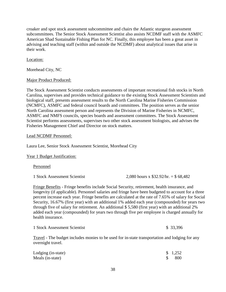croaker and spot stock assessment subcommittee and chairs the Atlantic sturgeon assessment subcommittees. The Senior Stock Assessment Scientist also assists NCDMF staff with the ASMFC American Shad Sustainable Fishing Plan for NC. Finally, this employee has been a great asset in advising and teaching staff (within and outside the NCDMF) about analytical issues that arise in their work.

Location:

Morehead City, NC

#### Major Product Produced:

The Stock Assessment Scientist conducts assessments of important recreational fish stocks in North Carolina, supervises and provides technical guidance to the existing Stock Assessment Scientists and biological staff, presents assessment results to the North Carolina Marine Fisheries Commission (NCMFC), ASMFC and federal council boards and committees. The position serves as the senior North Carolina assessment person and represents the Division of Marine Fisheries in NCMFC, ASMFC and NMFS councils, species boards and assessment committees. The Stock Assessment Scientist performs assessments, supervises two other stock assessment biologists, and advises the Fisheries Management Chief and Director on stock matters.

#### Lead NCDMF Personnel:

Laura Lee, Senior Stock Assessment Scientist, Morehead City

#### Year 1 Budget Justification:

#### Personnel

1 Stock Assessment Scientist 2,080 hours x \$32.92/hr. = \$ 68,482

Fringe Benefits - Fringe benefits include Social Security, retirement, health insurance, and longevity (if applicable). Personnel salaries and fringe have been budgeted to account for a three percent increase each year. Fringe benefits are calculated at the rate of 7.65% of salary for Social Security, 16.67% (first year) with an additional 1% added each year (compounded) for years two through five of salary for retirement. An additional \$ 5,580 (first year) with an additional 2% added each year (compounded) for years two through five per employee is charged annually for health insurance.

| 1 Stock Assessment Scientist | \$ 33,396 |
|------------------------------|-----------|
|                              |           |

Travel - The budget includes monies to be used for in-state transportation and lodging for any overnight travel.

| Lodging (in-state) | \$1,252 |
|--------------------|---------|
| Meals (in-state)   | 800     |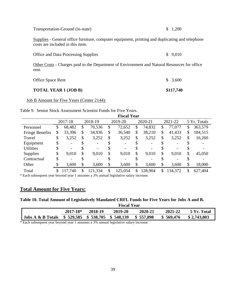| Transportation-Ground (in-state) | \$1,200 |
|----------------------------------|---------|
|----------------------------------|---------|

Supplies - General office furniture, computer equipment, printing and duplicating and telephone costs are included in this item.

| <b>Office and Data Processing Supplies</b> | \$9,010 |
|--------------------------------------------|---------|
|                                            |         |

Other Costs - Charges paid to the Department of Environment and Natural Resources for office rent.

| TOTAL YEAR 1 (JOB B) | \$117,740 |
|----------------------|-----------|
| Office Space Rent    | \$3,600   |

Job B Amount for Five Years (Center 2144):

<span id="page-39-0"></span>Table 9. Senior Stock Assessment Scientist Funds for Five Years.

|                        | <b>Fiscal Year</b> |         |    |         |    |         |    |                          |    |         |     |              |
|------------------------|--------------------|---------|----|---------|----|---------|----|--------------------------|----|---------|-----|--------------|
|                        |                    | 2017-18 |    | 2018-19 |    | 2019-20 |    | 2020-21                  |    | 2021-22 |     | 5 Yr. Totals |
| Personnel              | \$                 | 68,482  | \$ | 70,536  | \$ | 72,652  | \$ | 74,832                   | \$ | 77,077  | \$  | 363,579      |
| <b>Fringe Benefits</b> | \$                 | 33,396  | \$ | 34,936  | \$ | 36,540  | \$ | 38,210                   | \$ | 41,433  | \$  | 184,515      |
| Travel                 | \$                 | 3,252   | \$ | 3,252   | \$ | 3,252   | \$ | 3,252                    | \$ | 3,252   | \$  | 16,260       |
| Equipment              | \$                 |         | \$ |         | \$ |         |    | $\overline{\phantom{a}}$ |    |         | \$. |              |
| <b>Utilities</b>       | \$                 |         |    |         |    |         |    | $\overline{\phantom{a}}$ |    |         |     |              |
| <b>Supplies</b>        | \$                 | 9,010   | \$ | 9,010   | \$ | 9,010   | \$ | 9,010                    | \$ | 9,010   | \$  | 45,050       |
| Contractual            | \$                 |         | \$ |         |    |         |    | -                        |    |         |     |              |
| Other                  | \$                 | 3,600   | \$ | 3,600   | \$ | 3,600   | \$ | 3,600                    | \$ | 3,600   | \$  | 18,000       |
| Total                  | \$                 | 117,740 | \$ | 121,334 | \$ | 125,054 | \$ | 128,904                  | \$ | 134,372 | \$  | 627,404      |

\* Each subsequent year beyond year 1 assumes a 3% annual legislative salary increase.

# **Total Amount for Five Years:**

#### <span id="page-39-1"></span>**Table 10. Total Amount of Legislatively Mandated CRFL Funds for Five Years for Jobs A and B.**

|                   | <b>Fiscal Year</b>               |         |         |           |           |             |  |  |  |
|-------------------|----------------------------------|---------|---------|-----------|-----------|-------------|--|--|--|
|                   | $2017 - 18*$                     | 2018-19 | 2019-20 | 2020-21   | 2021-22   | 5 Yr. Total |  |  |  |
| Jobs A & B Totals | $$529,585$ $$538,705$ $$548,139$ |         |         | \$557,898 | \$569,476 | \$2,743,803 |  |  |  |

\* Each subsequent year beyond year 1 assumes a 3% annual legislative salary increase.